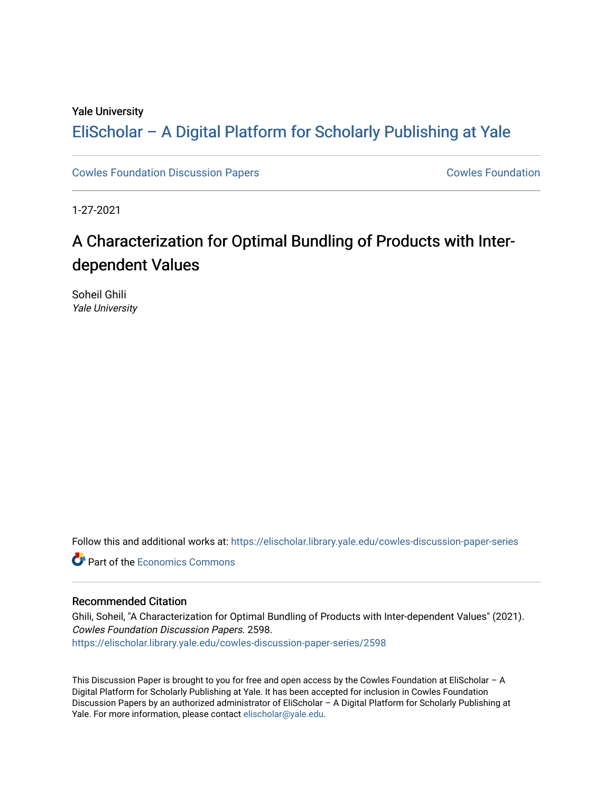#### Yale University

### [EliScholar – A Digital Platform for Scholarly Publishing at Yale](https://elischolar.library.yale.edu/)

[Cowles Foundation Discussion Papers](https://elischolar.library.yale.edu/cowles-discussion-paper-series) **Cowles Foundation** Cowles Foundation

1-27-2021

## A Characterization for Optimal Bundling of Products with Interdependent Values

Soheil Ghili Yale University

Follow this and additional works at: [https://elischolar.library.yale.edu/cowles-discussion-paper-series](https://elischolar.library.yale.edu/cowles-discussion-paper-series?utm_source=elischolar.library.yale.edu%2Fcowles-discussion-paper-series%2F2598&utm_medium=PDF&utm_campaign=PDFCoverPages)

**C** Part of the [Economics Commons](http://network.bepress.com/hgg/discipline/340?utm_source=elischolar.library.yale.edu%2Fcowles-discussion-paper-series%2F2598&utm_medium=PDF&utm_campaign=PDFCoverPages)

#### Recommended Citation

Ghili, Soheil, "A Characterization for Optimal Bundling of Products with Inter-dependent Values" (2021). Cowles Foundation Discussion Papers. 2598. [https://elischolar.library.yale.edu/cowles-discussion-paper-series/2598](https://elischolar.library.yale.edu/cowles-discussion-paper-series/2598?utm_source=elischolar.library.yale.edu%2Fcowles-discussion-paper-series%2F2598&utm_medium=PDF&utm_campaign=PDFCoverPages) 

This Discussion Paper is brought to you for free and open access by the Cowles Foundation at EliScholar – A Digital Platform for Scholarly Publishing at Yale. It has been accepted for inclusion in Cowles Foundation Discussion Papers by an authorized administrator of EliScholar – A Digital Platform for Scholarly Publishing at Yale. For more information, please contact [elischolar@yale.edu](mailto:elischolar@yale.edu).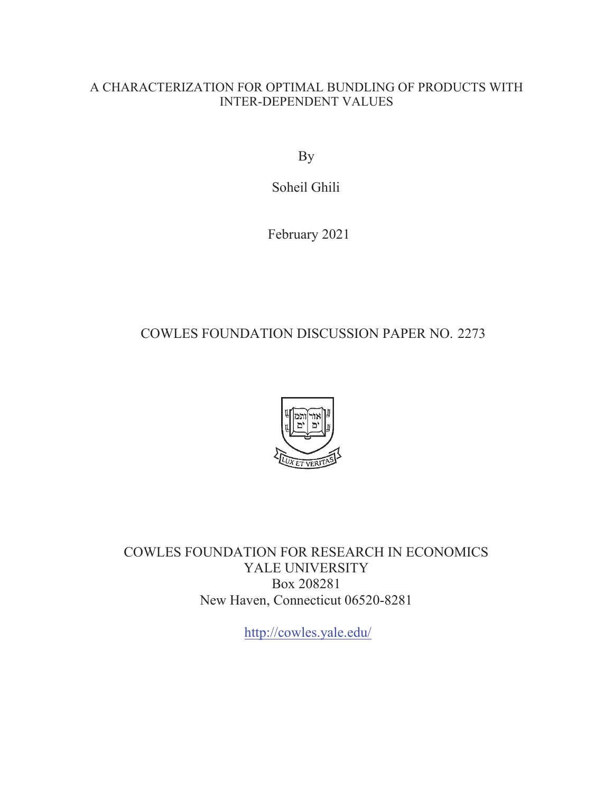#### A CHARACTERIZATION FOR OPTIMAL BUNDLING OF PRODUCTS WITH INTER-DEPENDENT VALUES

By

Soheil Ghili

February 2021

### COWLES FOUNDATION DISCUSSION PAPER NO. 2273



COWLES FOUNDATION FOR RESEARCH IN ECONOMICS YALE UNIVERSITY Box 208281 New Haven, Connecticut 06520-8281

<http://cowles.yale.edu>/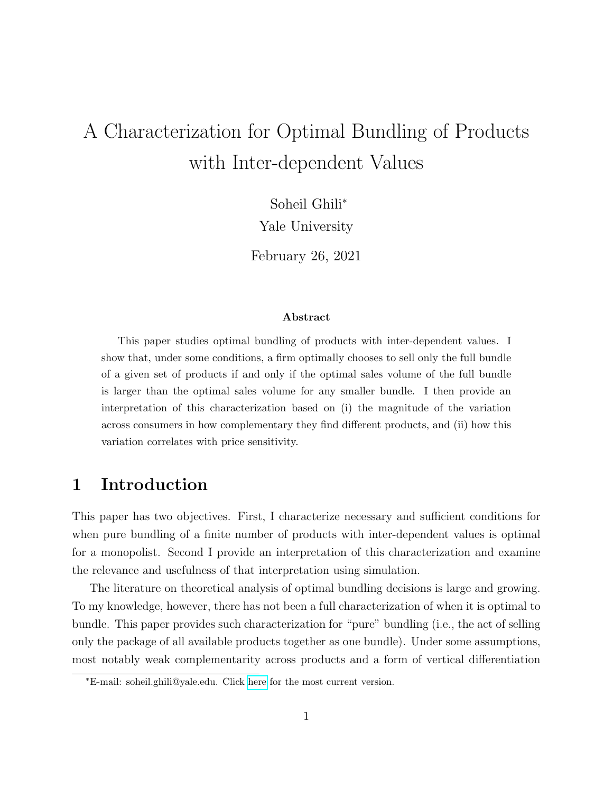# A Characterization for Optimal Bundling of Products with Inter-dependent Values

Soheil Ghili<sup>∗</sup>

Yale University

February 26, 2021

#### Abstract

This paper studies optimal bundling of products with inter-dependent values. I show that, under some conditions, a firm optimally chooses to sell only the full bundle of a given set of products if and only if the optimal sales volume of the full bundle is larger than the optimal sales volume for any smaller bundle. I then provide an interpretation of this characterization based on (i) the magnitude of the variation across consumers in how complementary they find different products, and (ii) how this variation correlates with price sensitivity.

### 1 Introduction

This paper has two objectives. First, I characterize necessary and sufficient conditions for when pure bundling of a finite number of products with inter-dependent values is optimal for a monopolist. Second I provide an interpretation of this characterization and examine the relevance and usefulness of that interpretation using simulation.

The literature on theoretical analysis of optimal bundling decisions is large and growing. To my knowledge, however, there has not been a full characterization of when it is optimal to bundle. This paper provides such characterization for "pure" bundling (i.e., the act of selling only the package of all available products together as one bundle). Under some assumptions, most notably weak complementarity across products and a form of vertical differentiation

<sup>∗</sup>E-mail: soheil.ghili@yale.edu. Click [here](https://sites.google.com/d/15EgEigNDlM3jOW0yqHBpZE0MHdjZeVGf/p/1F-C3Vr4w1OgoxdNeHXt40LgqE77XaxDP/edit) for the most current version.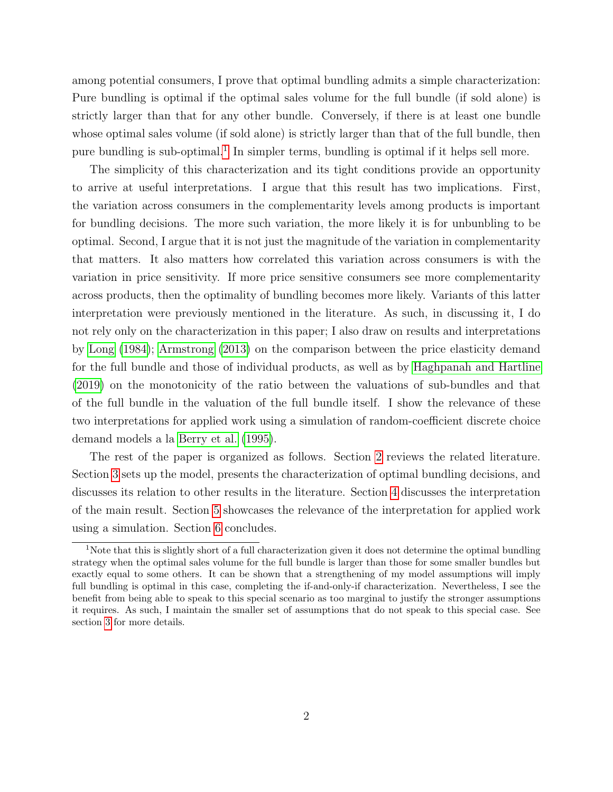among potential consumers, I prove that optimal bundling admits a simple characterization: Pure bundling is optimal if the optimal sales volume for the full bundle (if sold alone) is strictly larger than that for any other bundle. Conversely, if there is at least one bundle whose optimal sales volume (if sold alone) is strictly larger than that of the full bundle, then pure bundling is sub-optimal.<sup>[1](#page-3-0)</sup> In simpler terms, bundling is optimal if it helps sell more.

The simplicity of this characterization and its tight conditions provide an opportunity to arrive at useful interpretations. I argue that this result has two implications. First, the variation across consumers in the complementarity levels among products is important for bundling decisions. The more such variation, the more likely it is for unbunbling to be optimal. Second, I argue that it is not just the magnitude of the variation in complementarity that matters. It also matters how correlated this variation across consumers is with the variation in price sensitivity. If more price sensitive consumers see more complementarity across products, then the optimality of bundling becomes more likely. Variants of this latter interpretation were previously mentioned in the literature. As such, in discussing it, I do not rely only on the characterization in this paper; I also draw on results and interpretations by [Long](#page-18-0) [\(1984\)](#page-18-0); [Armstrong](#page-17-0) [\(2013\)](#page-17-0) on the comparison between the price elasticity demand for the full bundle and those of individual products, as well as by [Haghpanah and Hartline](#page-17-1) [\(2019\)](#page-17-1) on the monotonicity of the ratio between the valuations of sub-bundles and that of the full bundle in the valuation of the full bundle itself. I show the relevance of these two interpretations for applied work using a simulation of random-coefficient discrete choice demand models a la [Berry et al.](#page-17-2) [\(1995\)](#page-17-2).

The rest of the paper is organized as follows. Section [2](#page-4-0) reviews the related literature. Section [3](#page-5-0) sets up the model, presents the characterization of optimal bundling decisions, and discusses its relation to other results in the literature. Section [4](#page-12-0) discusses the interpretation of the main result. Section [5](#page-13-0) showcases the relevance of the interpretation for applied work using a simulation. Section [6](#page-16-0) concludes.

<span id="page-3-0"></span><sup>1</sup>Note that this is slightly short of a full characterization given it does not determine the optimal bundling strategy when the optimal sales volume for the full bundle is larger than those for some smaller bundles but exactly equal to some others. It can be shown that a strengthening of my model assumptions will imply full bundling is optimal in this case, completing the if-and-only-if characterization. Nevertheless, I see the benefit from being able to speak to this special scenario as too marginal to justify the stronger assumptions it requires. As such, I maintain the smaller set of assumptions that do not speak to this special case. See section [3](#page-5-0) for more details.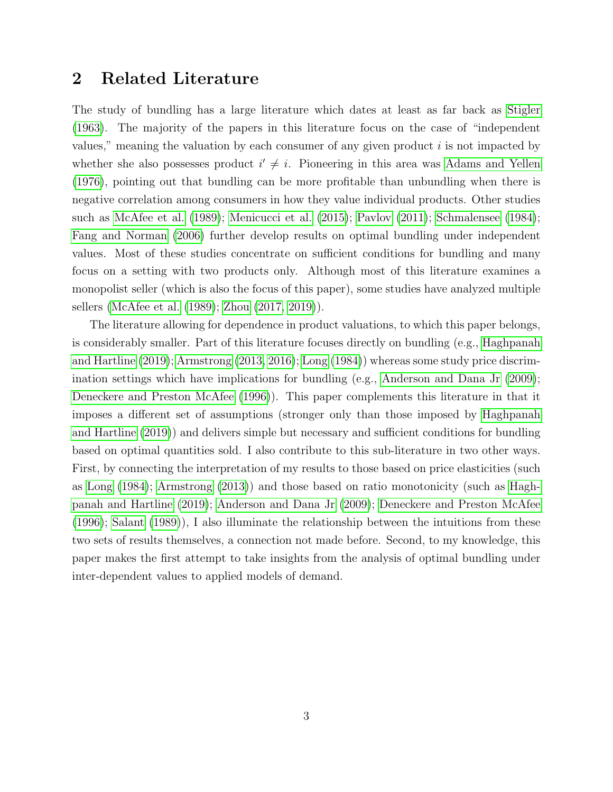### <span id="page-4-0"></span>2 Related Literature

The study of bundling has a large literature which dates at least as far back as [Stigler](#page-18-1) [\(1963\)](#page-18-1). The majority of the papers in this literature focus on the case of "independent values," meaning the valuation by each consumer of any given product  $i$  is not impacted by whether she also possesses product  $i' \neq i$ . Pioneering in this area was [Adams and Yellen](#page-17-3) [\(1976\)](#page-17-3), pointing out that bundling can be more profitable than unbundling when there is negative correlation among consumers in how they value individual products. Other studies such as [McAfee et al.](#page-18-2) [\(1989\)](#page-18-2); [Menicucci et al.](#page-18-3) [\(2015\)](#page-18-3); [Pavlov](#page-18-4) [\(2011\)](#page-18-4); [Schmalensee](#page-18-5) [\(1984\)](#page-18-5); [Fang and Norman](#page-17-4) [\(2006\)](#page-17-4) further develop results on optimal bundling under independent values. Most of these studies concentrate on sufficient conditions for bundling and many focus on a setting with two products only. Although most of this literature examines a monopolist seller (which is also the focus of this paper), some studies have analyzed multiple sellers [\(McAfee et al.](#page-18-2) [\(1989\)](#page-18-2); [Zhou](#page-18-6) [\(2017,](#page-18-6) [2019\)](#page-18-7)).

The literature allowing for dependence in product valuations, to which this paper belongs, is considerably smaller. Part of this literature focuses directly on bundling (e.g., [Haghpanah](#page-17-1) [and Hartline](#page-17-1) [\(2019\)](#page-17-1); [Armstrong](#page-17-0) [\(2013,](#page-17-0) [2016\)](#page-17-5); [Long](#page-18-0) [\(1984\)](#page-18-0)) whereas some study price discrimination settings which have implications for bundling (e.g., [Anderson and Dana Jr](#page-17-6) [\(2009\)](#page-17-6); [Deneckere and Preston McAfee](#page-17-7) [\(1996\)](#page-17-7)). This paper complements this literature in that it imposes a different set of assumptions (stronger only than those imposed by [Haghpanah](#page-17-1) [and Hartline](#page-17-1) [\(2019\)](#page-17-1)) and delivers simple but necessary and sufficient conditions for bundling based on optimal quantities sold. I also contribute to this sub-literature in two other ways. First, by connecting the interpretation of my results to those based on price elasticities (such as [Long](#page-18-0) [\(1984\)](#page-18-0); [Armstrong](#page-17-0) [\(2013\)](#page-17-0)) and those based on ratio monotonicity (such as [Hagh](#page-17-1)[panah and Hartline](#page-17-1) [\(2019\)](#page-17-1); [Anderson and Dana Jr](#page-17-6) [\(2009\)](#page-17-6); [Deneckere and Preston McAfee](#page-17-7) [\(1996\)](#page-17-7); [Salant](#page-18-8) [\(1989\)](#page-18-8)), I also illuminate the relationship between the intuitions from these two sets of results themselves, a connection not made before. Second, to my knowledge, this paper makes the first attempt to take insights from the analysis of optimal bundling under inter-dependent values to applied models of demand.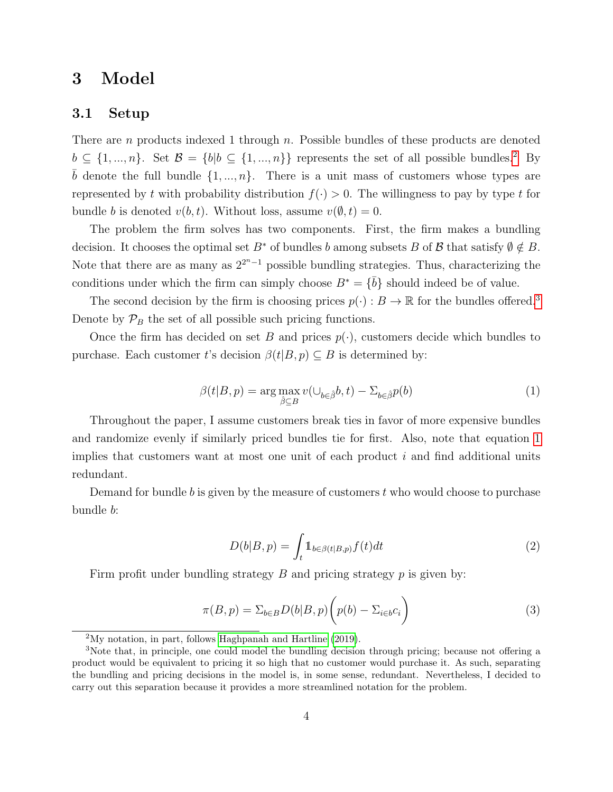### <span id="page-5-0"></span>3 Model

#### 3.1 Setup

There are n products indexed 1 through n. Possible bundles of these products are denoted  $b \subseteq \{1, ..., n\}$ . Set  $\mathcal{B} = \{b | b \subseteq \{1, ..., n\}\}\$  represents the set of all possible bundles.<sup>[2](#page-5-1)</sup> By  $\overline{b}$  denote the full bundle  $\{1, ..., n\}$ . There is a unit mass of customers whose types are represented by t with probability distribution  $f(.) > 0$ . The willingness to pay by type t for bundle b is denoted  $v(b, t)$ . Without loss, assume  $v(\emptyset, t) = 0$ .

The problem the firm solves has two components. First, the firm makes a bundling decision. It chooses the optimal set  $B^*$  of bundles b among subsets B of B that satisfy  $\emptyset \notin B$ . Note that there are as many as  $2^{2^{n}-1}$  possible bundling strategies. Thus, characterizing the conditions under which the firm can simply choose  $B^* = {\overline{b}}$  should indeed be of value.

The second decision by the firm is choosing prices  $p(\cdot) : B \to \mathbb{R}$  for the bundles offered.<sup>[3](#page-5-2)</sup> Denote by  $\mathcal{P}_B$  the set of all possible such pricing functions.

Once the firm has decided on set B and prices  $p(\cdot)$ , customers decide which bundles to purchase. Each customer t's decision  $\beta(t|B, p) \subseteq B$  is determined by:

<span id="page-5-3"></span>
$$
\beta(t|B, p) = \arg \max_{\hat{\beta} \subseteq B} v(\cup_{b \in \hat{\beta}} b, t) - \Sigma_{b \in \hat{\beta}} p(b)
$$
\n(1)

Throughout the paper, I assume customers break ties in favor of more expensive bundles and randomize evenly if similarly priced bundles tie for first. Also, note that equation [1](#page-5-3) implies that customers want at most one unit of each product  $i$  and find additional units redundant.

Demand for bundle b is given by the measure of customers  $t$  who would choose to purchase bundle b:

$$
D(b|B, p) = \int_{t} \mathbb{1}_{b \in \beta(t|B, p)} f(t) dt
$$
\n(2)

Firm profit under bundling strategy B and pricing strategy  $p$  is given by:

$$
\pi(B, p) = \sum_{b \in B} D(b|B, p) \left( p(b) - \sum_{i \in b} c_i \right) \tag{3}
$$

<span id="page-5-2"></span><span id="page-5-1"></span> $2^2$ My notation, in part, follows [Haghpanah and Hartline](#page-17-1) [\(2019\)](#page-17-1).

<sup>&</sup>lt;sup>3</sup>Note that, in principle, one could model the bundling decision through pricing; because not offering a product would be equivalent to pricing it so high that no customer would purchase it. As such, separating the bundling and pricing decisions in the model is, in some sense, redundant. Nevertheless, I decided to carry out this separation because it provides a more streamlined notation for the problem.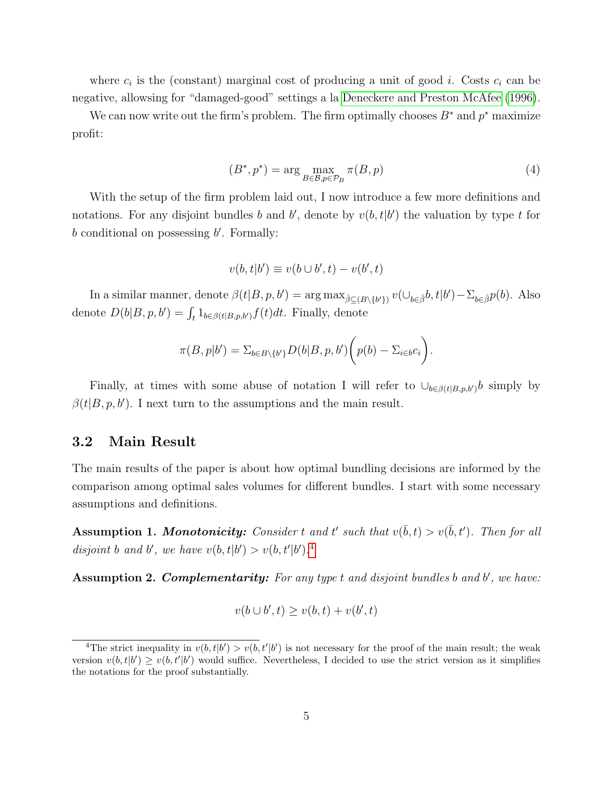where  $c_i$  is the (constant) marginal cost of producing a unit of good *i*. Costs  $c_i$  can be negative, allowsing for "damaged-good" settings a la [Deneckere and Preston McAfee](#page-17-7) [\(1996\)](#page-17-7).

We can now write out the firm's problem. The firm optimally chooses  $B^*$  and  $p^*$  maximize profit:

$$
(B^*, p^*) = \arg\max_{B \in \mathcal{B}, p \in \mathcal{P}_B} \pi(B, p) \tag{4}
$$

With the setup of the firm problem laid out, I now introduce a few more definitions and notations. For any disjoint bundles b and b', denote by  $v(b, t|b')$  the valuation by type t for  $b$  conditional on possessing  $b'$ . Formally:

$$
v(b, t|b') \equiv v(b \cup b', t) - v(b', t)
$$

In a similar manner, denote  $\beta(t|B, p, b') = \arg \max_{\hat{\beta} \subseteq (B \setminus \{b'\})} v(\cup_{b \in \hat{\beta}} b, t|b') - \sum_{b \in \hat{\beta}} p(b)$ . Also denote  $D(b|B, p, b') = \int_t 1_{b \in \beta(t|B, p, b')} f(t) dt$ . Finally, denote

$$
\pi(B,p|b') = \sum_{b \in B \setminus \{b'\}} D(b|B,p,b') \bigg(p(b) - \sum_{i \in b} c_i\bigg).
$$

Finally, at times with some abuse of notation I will refer to  $\cup_{b \in \beta(t|B,p,b')} b$  simply by  $\beta(t|B, p, b')$ . I next turn to the assumptions and the main result.

#### 3.2 Main Result

The main results of the paper is about how optimal bundling decisions are informed by the comparison among optimal sales volumes for different bundles. I start with some necessary assumptions and definitions.

<span id="page-6-1"></span>**Assumption 1. Monotonicity:** Consider t and t' such that  $v(\bar{b}, t) > v(\bar{b}, t')$ . Then for all disjoint b and b', we have  $v(b, t|b') > v(b, t'|b')$ .<sup>[4](#page-6-0)</sup>

<span id="page-6-2"></span>Assumption 2. Complementarity: For any type t and disjoint bundles b and b', we have:

$$
v(b \cup b', t) \ge v(b, t) + v(b', t)
$$

<span id="page-6-0"></span><sup>&</sup>lt;sup>4</sup>The strict inequality in  $v(b, t|b') > v(b, t'|b')$  is not necessary for the proof of the main result; the weak version  $v(b, t|b') \ge v(b, t'|b')$  would suffice. Nevertheless, I decided to use the strict version as it simplifies the notations for the proof substantially.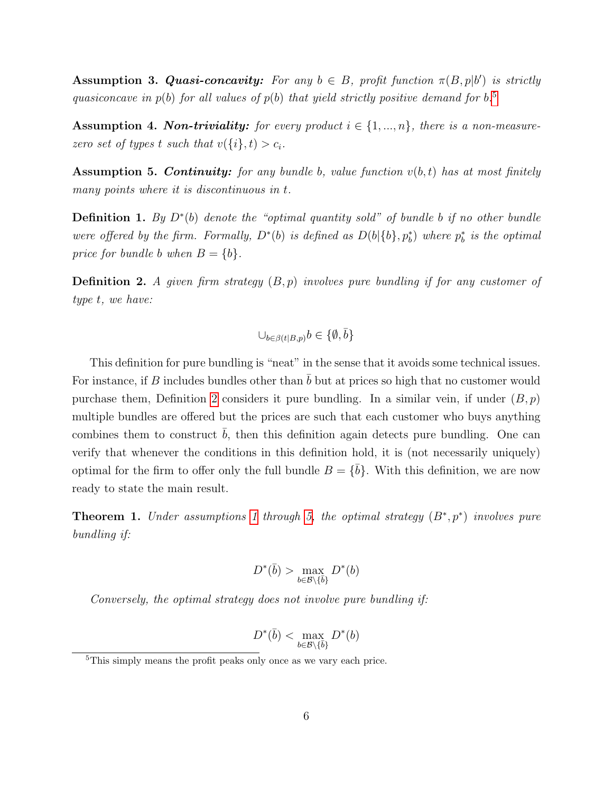<span id="page-7-4"></span>**Assumption 3. Quasi-concavity:** For any  $b \in B$ , profit function  $\pi(B, p|b')$  is strictly quasiconcave in  $p(b)$  for all values of  $p(b)$  that yield strictly positive demand for  $b$ .<sup>[5](#page-7-0)</sup>

<span id="page-7-5"></span>**Assumption 4. Non-triviality:** for every product  $i \in \{1, ..., n\}$ , there is a non-measurezero set of types t such that  $v(\{i\}, t) > c_i$ .

<span id="page-7-2"></span>**Assumption 5. Continuity:** for any bundle b, value function  $v(b, t)$  has at most finitely many points where it is discontinuous in t.

**Definition 1.** By  $D^*(b)$  denote the "optimal quantity sold" of bundle b if no other bundle were offered by the firm. Formally,  $D^*(b)$  is defined as  $D(b|\{b\}, p_b^*)$  where  $p_b^*$  is the optimal price for bundle b when  $B = \{b\}.$ 

<span id="page-7-1"></span>**Definition 2.** A given firm strategy  $(B, p)$  involves pure bundling if for any customer of type t, we have:

$$
\cup_{b \in \beta(t|B,p)} b \in \{\emptyset, \bar{b}\}
$$

This definition for pure bundling is "neat" in the sense that it avoids some technical issues. For instance, if B includes bundles other than  $\bar{b}$  but at prices so high that no customer would purchase them, Definition [2](#page-7-1) considers it pure bundling. In a similar vein, if under  $(B, p)$ multiple bundles are offered but the prices are such that each customer who buys anything combines them to construct  $b$ , then this definition again detects pure bundling. One can verify that whenever the conditions in this definition hold, it is (not necessarily uniquely) optimal for the firm to offer only the full bundle  $B = \{\bar{b}\}\$ . With this definition, we are now ready to state the main result.

<span id="page-7-3"></span>**Theorem [1](#page-6-1).** Under assumptions 1 through [5,](#page-7-2) the optimal strategy  $(B^*, p^*)$  involves pure bundling if:

$$
D^*(\bar{b}) > \max_{b \in \mathcal{B} \setminus \{\bar{b}\}} D^*(b)
$$

Conversely, the optimal strategy does not involve pure bundling if:

$$
D^*(\bar{b}) < \max_{b \in \mathcal{B} \setminus \{\bar{b}\}} D^*(b)
$$

<span id="page-7-0"></span><sup>5</sup>This simply means the profit peaks only once as we vary each price.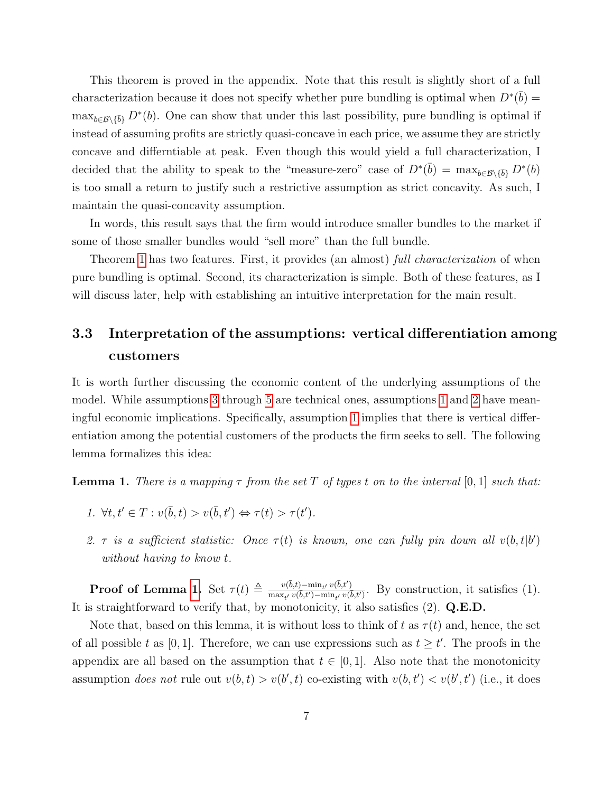This theorem is proved in the appendix. Note that this result is slightly short of a full characterization because it does not specify whether pure bundling is optimal when  $D^*(\bar{b}) =$  $\max_{b \in \mathcal{B} \setminus \{\bar{b}\}} D^*(b)$ . One can show that under this last possibility, pure bundling is optimal if instead of assuming profits are strictly quasi-concave in each price, we assume they are strictly concave and differntiable at peak. Even though this would yield a full characterization, I decided that the ability to speak to the "measure-zero" case of  $D^*(\bar{b}) = \max_{b \in \mathcal{B} \setminus {\{\bar{b}\}}} D^*(b)$ is too small a return to justify such a restrictive assumption as strict concavity. As such, I maintain the quasi-concavity assumption.

In words, this result says that the firm would introduce smaller bundles to the market if some of those smaller bundles would "sell more" than the full bundle.

Theorem [1](#page-7-3) has two features. First, it provides (an almost) full *characterization* of when pure bundling is optimal. Second, its characterization is simple. Both of these features, as I will discuss later, help with establishing an intuitive interpretation for the main result.

### 3.3 Interpretation of the assumptions: vertical differentiation among customers

It is worth further discussing the economic content of the underlying assumptions of the model. While assumptions [3](#page-7-4) through [5](#page-7-2) are technical ones, assumptions [1](#page-6-1) and [2](#page-6-2) have meaningful economic implications. Specifically, assumption [1](#page-6-1) implies that there is vertical differentiation among the potential customers of the products the firm seeks to sell. The following lemma formalizes this idea:

<span id="page-8-0"></span>**Lemma 1.** There is a mapping  $\tau$  from the set T of types t on to the interval [0, 1] such that:

- 1.  $\forall t, t' \in T : v(\bar{b}, t) > v(\bar{b}, t') \Leftrightarrow \tau(t) > \tau(t').$
- 2. τ is a sufficient statistic: Once  $\tau(t)$  is known, one can fully pin down all  $v(b, t|b')$ without having to know t.

**Proof of Lemma [1.](#page-8-0)** Set  $\tau(t) \triangleq \frac{v(\bar{b}, t) - \min_{t'} v(\bar{b}, t')}{\max_{t'} v(\bar{b}, t') - \min_{t'} v(\bar{b}, t')}$  $\frac{v(b,t)-\min_{t'} v(b,t')}{\max_{t'} v(\bar{b},t')-\min_{t'} v(\bar{b},t')}$ . By construction, it satisfies (1). It is straightforward to verify that, by monotonicity, it also satisfies (2). Q.E.D.

Note that, based on this lemma, it is without loss to think of t as  $\tau(t)$  and, hence, the set of all possible t as [0, 1]. Therefore, we can use expressions such as  $t \geq t'$ . The proofs in the appendix are all based on the assumption that  $t \in [0, 1]$ . Also note that the monotonicity assumption *does not* rule out  $v(b, t) > v(b', t)$  co-existing with  $v(b, t') < v(b', t')$  (i.e., it does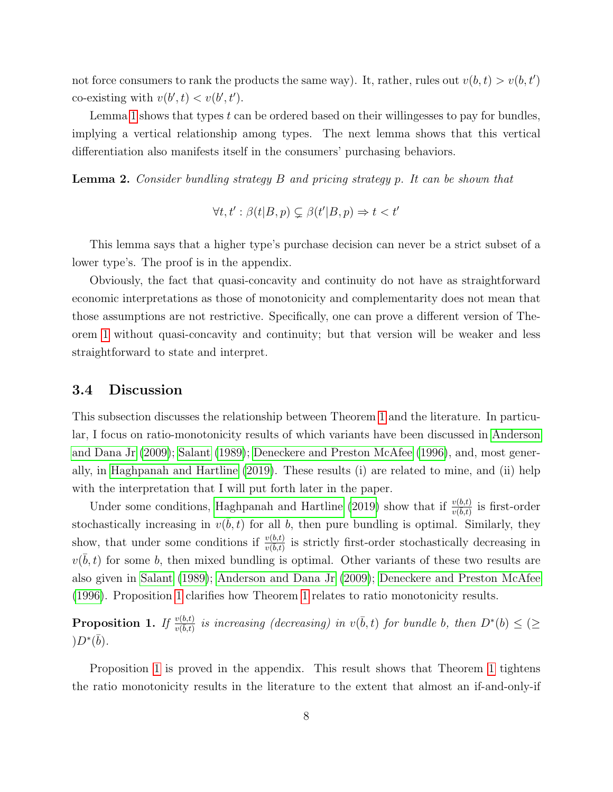not force consumers to rank the products the same way). It, rather, rules out  $v(b, t) > v(b, t')$ co-existing with  $v(b', t) < v(b', t')$ .

Lemma [1](#page-8-0) shows that types  $t$  can be ordered based on their willingesses to pay for bundles, implying a vertical relationship among types. The next lemma shows that this vertical differentiation also manifests itself in the consumers' purchasing behaviors.

<span id="page-9-1"></span>Lemma 2. Consider bundling strategy B and pricing strategy p. It can be shown that

$$
\forall t, t' : \beta(t|B, p) \subsetneq \beta(t'|B, p) \Rightarrow t < t'
$$

This lemma says that a higher type's purchase decision can never be a strict subset of a lower type's. The proof is in the appendix.

Obviously, the fact that quasi-concavity and continuity do not have as straightforward economic interpretations as those of monotonicity and complementarity does not mean that those assumptions are not restrictive. Specifically, one can prove a different version of Theorem [1](#page-7-3) without quasi-concavity and continuity; but that version will be weaker and less straightforward to state and interpret.

#### 3.4 Discussion

This subsection discusses the relationship between Theorem [1](#page-7-3) and the literature. In particular, I focus on ratio-monotonicity results of which variants have been discussed in [Anderson](#page-17-6) [and Dana Jr](#page-17-6) [\(2009\)](#page-17-6); [Salant](#page-18-8) [\(1989\)](#page-18-8); [Deneckere and Preston McAfee](#page-17-7) [\(1996\)](#page-17-7), and, most generally, in [Haghpanah and Hartline](#page-17-1) [\(2019\)](#page-17-1). These results (i) are related to mine, and (ii) help with the interpretation that I will put forth later in the paper.

Under some conditions, [Haghpanah and Hartline](#page-17-1) [\(2019\)](#page-17-1) show that if  $\frac{v(b,t)}{v(b,t)}$  is first-order stochastically increasing in  $v(\bar{b}, t)$  for all b, then pure bundling is optimal. Similarly, they show, that under some conditions if  $\frac{v(b,t)}{v(b,t)}$  is strictly first-order stochastically decreasing in  $v(\bar{b}, t)$  for some b, then mixed bundling is optimal. Other variants of these two results are also given in [Salant](#page-18-8) [\(1989\)](#page-18-8); [Anderson and Dana Jr](#page-17-6) [\(2009\)](#page-17-6); [Deneckere and Preston McAfee](#page-17-7) [\(1996\)](#page-17-7). Proposition [1](#page-9-0) clarifies how Theorem [1](#page-7-3) relates to ratio monotonicity results.

<span id="page-9-0"></span>**Proposition 1.** If  $\frac{v(b,t)}{v(\bar{b},t)}$  is increasing (decreasing) in  $v(\bar{b},t)$  for bundle b, then  $D^*(b) \leq (\geq$  $)D^*(\bar{b}).$ 

Proposition [1](#page-9-0) is proved in the appendix. This result shows that Theorem [1](#page-7-3) tightens the ratio monotonicity results in the literature to the extent that almost an if-and-only-if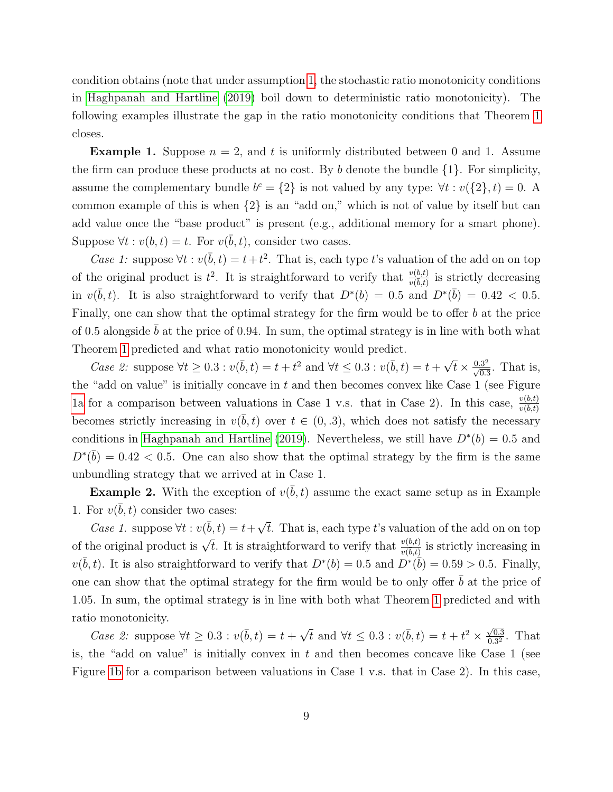condition obtains (note that under assumption [1,](#page-6-1) the stochastic ratio monotonicity conditions in [Haghpanah and Hartline](#page-17-1) [\(2019\)](#page-17-1) boil down to deterministic ratio monotonicity). The following examples illustrate the gap in the ratio monotonicity conditions that Theorem [1](#page-7-3) closes.

**Example 1.** Suppose  $n = 2$ , and t is uniformly distributed between 0 and 1. Assume the firm can produce these products at no cost. By b denote the bundle  $\{1\}$ . For simplicity, assume the complementary bundle  $b^c = \{2\}$  is not valued by any type:  $\forall t : v(\{2\}, t) = 0$ . A common example of this is when {2} is an "add on," which is not of value by itself but can add value once the "base product" is present (e.g., additional memory for a smart phone). Suppose  $\forall t : v(b, t) = t$ . For  $v(\bar{b}, t)$ , consider two cases.

Case 1: suppose  $\forall t : v(\bar{b}, t) = t + t^2$ . That is, each type t's valuation of the add on on top of the original product is  $t^2$ . It is straightforward to verify that  $\frac{v(b,t)}{v(\overline{b},t)}$  is strictly decreasing in  $v(\bar{b}, t)$ . It is also straightforward to verify that  $D^*(b) = 0.5$  and  $D^*(\bar{b}) = 0.42 < 0.5$ . Finally, one can show that the optimal strategy for the firm would be to offer b at the price of 0.5 alongside  $\bar{b}$  at the price of 0.94. In sum, the optimal strategy is in line with both what Theorem [1](#page-7-3) predicted and what ratio monotonicity would predict.

Case 2: suppose  $\forall t \geq 0.3 : v(\bar{b}, t) = t + t^2$  and  $\forall t \leq 0.3 : v(\bar{b}, t) = t + \sqrt{2}$  $\overline{t} \times \frac{0.3^2}{\sqrt{0.3}}$ . That is, the "add on value" is initially concave in  $t$  and then becomes convex like Case 1 (see Figure [1a](#page-11-0) for a comparison between valuations in Case 1 v.s. that in Case 2). In this case,  $\frac{v(b,t)}{v(\bar{b},t)}$ becomes strictly increasing in  $v(\bar{b}, t)$  over  $t \in (0, .3)$ , which does not satisfy the necessary conditions in [Haghpanah and Hartline](#page-17-1) [\(2019\)](#page-17-1). Nevertheless, we still have  $D^*(b) = 0.5$  and  $D^*(\bar{b}) = 0.42 < 0.5$ . One can also show that the optimal strategy by the firm is the same unbundling strategy that we arrived at in Case 1.

**Example 2.** With the exception of  $v(\bar{b}, t)$  assume the exact same setup as in Example 1. For  $v(\bar{b}, t)$  consider two cases:

Case 1. suppose  $\forall t : v(\bar{b}, t) = t + \sqrt{\frac{t^2}{c^2}}$ t. That is, each type t's valuation of the add on on top of the original product is  $\sqrt{t}$ . It is straightforward to verify that  $\frac{v(b,t)}{v(b,t)}$  is strictly increasing in  $v(\bar{b}, t)$ . It is also straightforward to verify that  $D^*(b) = 0.5$  and  $D^*(\bar{b}) = 0.59 > 0.5$ . Finally, one can show that the optimal strategy for the firm would be to only offer  $b$  at the price of 1.05. In sum, the optimal strategy is in line with both what Theorem [1](#page-7-3) predicted and with ratio monotonicity.

Case 2: suppose  $\forall t \geq 0.3 : v(\bar{b}, t) = t + \sqrt{3}$  $\bar{t}$  and ∀ $t \leq 0.3$  :  $v(\bar{b}, t) = t + t^2 \times \frac{\sqrt{0.3}}{0.32}$  $\frac{\sqrt{0.3}}{0.3^2}$ . That is, the "add on value" is initially convex in  $t$  and then becomes concave like Case 1 (see Figure [1b](#page-11-0) for a comparison between valuations in Case 1 v.s. that in Case 2). In this case,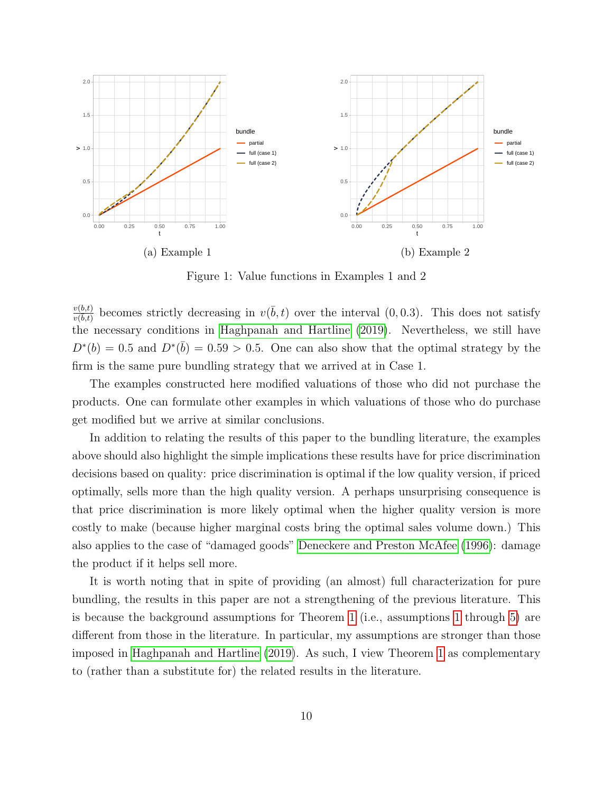<span id="page-11-0"></span>

Figure 1: Value functions in Examples 1 and 2

 $\frac{v(b,t)}{v(\bar{b},t)}$  becomes strictly decreasing in  $v(\bar{b},t)$  over the interval  $(0,0.3)$ . This does not satisfy the necessary conditions in [Haghpanah and Hartline](#page-17-1) [\(2019\)](#page-17-1). Nevertheless, we still have  $D^*(b) = 0.5$  and  $D^*(\bar{b}) = 0.59 > 0.5$ . One can also show that the optimal strategy by the firm is the same pure bundling strategy that we arrived at in Case 1.

The examples constructed here modified valuations of those who did not purchase the products. One can formulate other examples in which valuations of those who do purchase get modified but we arrive at similar conclusions.

In addition to relating the results of this paper to the bundling literature, the examples above should also highlight the simple implications these results have for price discrimination decisions based on quality: price discrimination is optimal if the low quality version, if priced optimally, sells more than the high quality version. A perhaps unsurprising consequence is that price discrimination is more likely optimal when the higher quality version is more costly to make (because higher marginal costs bring the optimal sales volume down.) This also applies to the case of "damaged goods" [Deneckere and Preston McAfee](#page-17-7) [\(1996\)](#page-17-7): damage the product if it helps sell more.

It is worth noting that in spite of providing (an almost) full characterization for pure bundling, the results in this paper are not a strengthening of the previous literature. This is because the background assumptions for Theorem [1](#page-7-3) (i.e., assumptions [1](#page-6-1) through [5\)](#page-7-2) are different from those in the literature. In particular, my assumptions are stronger than those imposed in [Haghpanah and Hartline](#page-17-1) [\(2019\)](#page-17-1). As such, I view Theorem [1](#page-7-3) as complementary to (rather than a substitute for) the related results in the literature.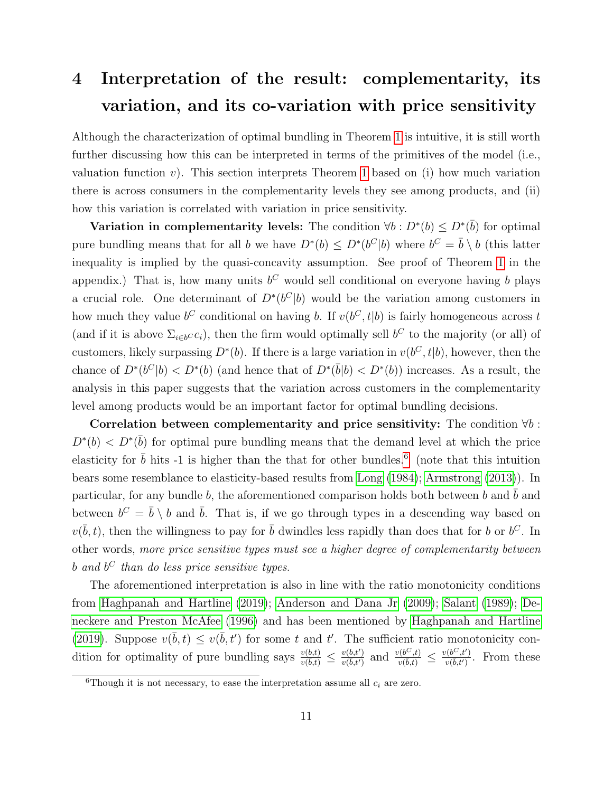# <span id="page-12-0"></span>4 Interpretation of the result: complementarity, its variation, and its co-variation with price sensitivity

Although the characterization of optimal bundling in Theorem [1](#page-7-3) is intuitive, it is still worth further discussing how this can be interpreted in terms of the primitives of the model (i.e., valuation function v). This section interprets Theorem [1](#page-7-3) based on (i) how much variation there is across consumers in the complementarity levels they see among products, and (ii) how this variation is correlated with variation in price sensitivity.

Variation in complementarity levels: The condition  $\forall b : D^*(b) \le D^*(\overline{b})$  for optimal pure bundling means that for all b we have  $D^*(b) \le D^*(b^C|b)$  where  $b^C = \bar{b} \setminus b$  (this latter inequality is implied by the quasi-concavity assumption. See proof of Theorem [1](#page-7-3) in the appendix.) That is, how many units  $b^C$  would sell conditional on everyone having b plays a crucial role. One determinant of  $D^*(b^C|b)$  would be the variation among customers in how much they value  $b^C$  conditional on having b. If  $v(b^C, t|b)$  is fairly homogeneous across t (and if it is above  $\Sigma_{i\in b}cc_i$ ), then the firm would optimally sell  $b^C$  to the majority (or all) of customers, likely surpassing  $D^*(b)$ . If there is a large variation in  $v(b^C, t|b)$ , however, then the chance of  $D^*(b^C|b) < D^*(b)$  (and hence that of  $D^*(\bar{b}|b) < D^*(b)$ ) increases. As a result, the analysis in this paper suggests that the variation across customers in the complementarity level among products would be an important factor for optimal bundling decisions.

Correlation between complementarity and price sensitivity: The condition  $\forall b$ :  $D^*(b) < D^*(\bar{b})$  for optimal pure bundling means that the demand level at which the price elasticity for  $\bar{b}$  hits -1 is higher than the that for other bundles.<sup>[6](#page-12-1)</sup> (note that this intuition bears some resemblance to elasticity-based results from [Long](#page-18-0) [\(1984\)](#page-18-0); [Armstrong](#page-17-0) [\(2013\)](#page-17-0)). In particular, for any bundle b, the aforementioned comparison holds both between b and  $\bar{b}$  and between  $b^C = \bar{b} \setminus b$  and  $\bar{b}$ . That is, if we go through types in a descending way based on  $v(\bar{b}, t)$ , then the willingness to pay for  $\bar{b}$  dwindles less rapidly than does that for b or  $b^C$ . In other words, more price sensitive types must see a higher degree of complementarity between b and  $b^C$  than do less price sensitive types.

The aforementioned interpretation is also in line with the ratio monotonicity conditions from [Haghpanah and Hartline](#page-17-1) [\(2019\)](#page-17-1); [Anderson and Dana Jr](#page-17-6) [\(2009\)](#page-17-6); [Salant](#page-18-8) [\(1989\)](#page-18-8); [De](#page-17-7)[neckere and Preston McAfee](#page-17-7) [\(1996\)](#page-17-7) and has been mentioned by [Haghpanah and Hartline](#page-17-1) [\(2019\)](#page-17-1). Suppose  $v(\bar{b}, t) \leq v(\bar{b}, t')$  for some t and t'. The sufficient ratio monotonicity condition for optimality of pure bundling says  $\frac{v(b,t)}{v(\bar{b},t)} \leq \frac{v(b,t')}{v(\bar{b},t')}$  and  $\frac{v(b^C,t)}{v(\bar{b},t')} \leq \frac{v(b^C,t')}{v(\bar{b},t')}$ . From these

<span id="page-12-1"></span><sup>&</sup>lt;sup>6</sup>Though it is not necessary, to ease the interpretation assume all  $c_i$  are zero.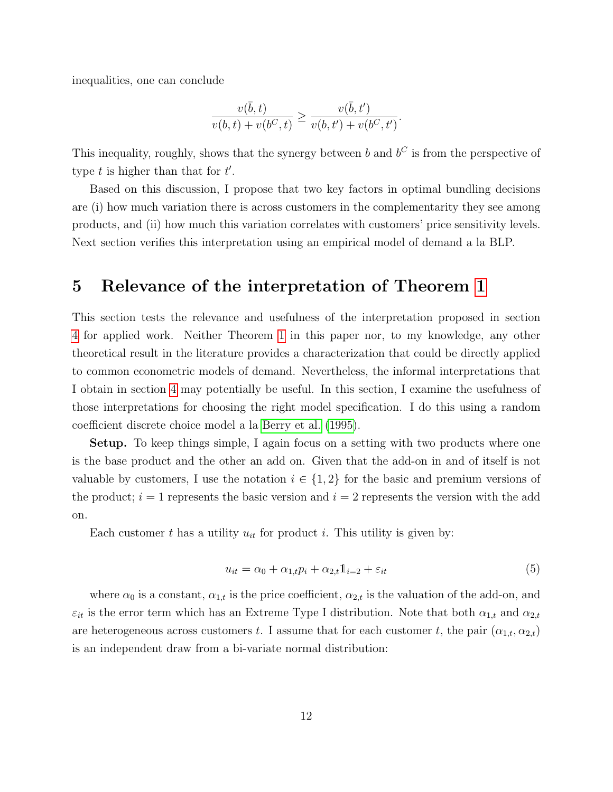inequalities, one can conclude

$$
\frac{v(\bar{b},t)}{v(b,t) + v(b^C, t)} \ge \frac{v(\bar{b},t')}{v(b,t') + v(b^C, t')}.
$$

This inequality, roughly, shows that the synergy between b and  $b^C$  is from the perspective of type  $t$  is higher than that for  $t'$ .

Based on this discussion, I propose that two key factors in optimal bundling decisions are (i) how much variation there is across customers in the complementarity they see among products, and (ii) how much this variation correlates with customers' price sensitivity levels. Next section verifies this interpretation using an empirical model of demand a la BLP.

### <span id="page-13-0"></span>5 Relevance of the interpretation of Theorem [1](#page-7-3)

This section tests the relevance and usefulness of the interpretation proposed in section [4](#page-12-0) for applied work. Neither Theorem [1](#page-7-3) in this paper nor, to my knowledge, any other theoretical result in the literature provides a characterization that could be directly applied to common econometric models of demand. Nevertheless, the informal interpretations that I obtain in section [4](#page-12-0) may potentially be useful. In this section, I examine the usefulness of those interpretations for choosing the right model specification. I do this using a random coefficient discrete choice model a la [Berry et al.](#page-17-2) [\(1995\)](#page-17-2).

Setup. To keep things simple, I again focus on a setting with two products where one is the base product and the other an add on. Given that the add-on in and of itself is not valuable by customers, I use the notation  $i \in \{1,2\}$  for the basic and premium versions of the product;  $i = 1$  represents the basic version and  $i = 2$  represents the version with the add on.

Each customer t has a utility  $u_{it}$  for product i. This utility is given by:

$$
u_{it} = \alpha_0 + \alpha_{1,t} p_i + \alpha_{2,t} \mathbb{1}_{i=2} + \varepsilon_{it}
$$
\n
$$
\tag{5}
$$

where  $\alpha_0$  is a constant,  $\alpha_{1,t}$  is the price coefficient,  $\alpha_{2,t}$  is the valuation of the add-on, and  $\varepsilon_{it}$  is the error term which has an Extreme Type I distribution. Note that both  $\alpha_{1,t}$  and  $\alpha_{2,t}$ are heterogeneous across customers t. I assume that for each customer t, the pair  $(\alpha_{1,t}, \alpha_{2,t})$ is an independent draw from a bi-variate normal distribution: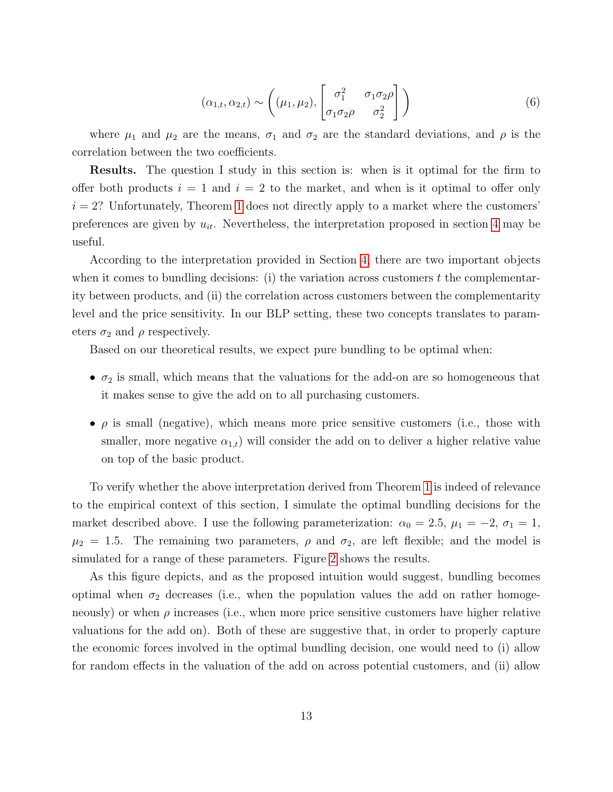$$
(\alpha_{1,t}, \alpha_{2,t}) \sim \left( (\mu_1, \mu_2), \begin{bmatrix} \sigma_1^2 & \sigma_1 \sigma_2 \rho \\ \sigma_1 \sigma_2 \rho & \sigma_2^2 \end{bmatrix} \right)
$$
 (6)

where  $\mu_1$  and  $\mu_2$  are the means,  $\sigma_1$  and  $\sigma_2$  are the standard deviations, and  $\rho$  is the correlation between the two coefficients.

Results. The question I study in this section is: when is it optimal for the firm to offer both products  $i = 1$  and  $i = 2$  to the market, and when is it optimal to offer only  $i = 2$ ? Unfortunately, Theorem [1](#page-7-3) does not directly apply to a market where the customers' preferences are given by  $u_{it}$ . Nevertheless, the interpretation proposed in section [4](#page-12-0) may be useful.

According to the interpretation provided in Section [4,](#page-12-0) there are two important objects when it comes to bundling decisions: (i) the variation across customers  $t$  the complementarity between products, and (ii) the correlation across customers between the complementarity level and the price sensitivity. In our BLP setting, these two concepts translates to parameters  $\sigma_2$  and  $\rho$  respectively.

Based on our theoretical results, we expect pure bundling to be optimal when:

- $\sigma_2$  is small, which means that the valuations for the add-on are so homogeneous that it makes sense to give the add on to all purchasing customers.
- $\rho$  is small (negative), which means more price sensitive customers (i.e., those with smaller, more negative  $\alpha_{1,t}$ ) will consider the add on to deliver a higher relative value on top of the basic product.

To verify whether the above interpretation derived from Theorem [1](#page-7-3) is indeed of relevance to the empirical context of this section, I simulate the optimal bundling decisions for the market described above. I use the following parameterization:  $\alpha_0 = 2.5$ ,  $\mu_1 = -2$ ,  $\sigma_1 = 1$ ,  $\mu_2 = 1.5$ . The remaining two parameters,  $\rho$  and  $\sigma_2$ , are left flexible; and the model is simulated for a range of these parameters. Figure [2](#page-15-0) shows the results.

As this figure depicts, and as the proposed intuition would suggest, bundling becomes optimal when  $\sigma_2$  decreases (i.e., when the population values the add on rather homogeneously) or when  $\rho$  increases (i.e., when more price sensitive customers have higher relative valuations for the add on). Both of these are suggestive that, in order to properly capture the economic forces involved in the optimal bundling decision, one would need to (i) allow for random effects in the valuation of the add on across potential customers, and (ii) allow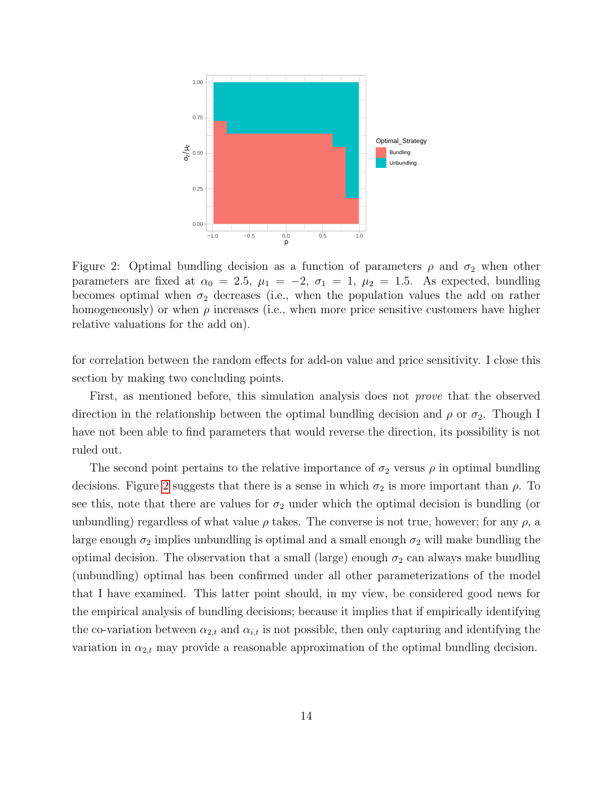<span id="page-15-0"></span>

Figure 2: Optimal bundling decision as a function of parameters  $\rho$  and  $\sigma_2$  when other parameters are fixed at  $\alpha_0 = 2.5$ ,  $\mu_1 = -2$ ,  $\sigma_1 = 1$ ,  $\mu_2 = 1.5$ . As expected, bundling becomes optimal when  $\sigma_2$  decreases (i.e., when the population values the add on rather homogeneously) or when  $\rho$  increases (i.e., when more price sensitive customers have higher relative valuations for the add on).

for correlation between the random effects for add-on value and price sensitivity. I close this section by making two concluding points.

First, as mentioned before, this simulation analysis does not *prove* that the observed direction in the relationship between the optimal bundling decision and  $\rho$  or  $\sigma_2$ . Though I have not been able to find parameters that would reverse the direction, its possibility is not ruled out.

The second point pertains to the relative importance of  $\sigma_2$  versus  $\rho$  in optimal bundling decisions. Figure [2](#page-15-0) suggests that there is a sense in which  $\sigma_2$  is more important than  $\rho$ . To see this, note that there are values for  $\sigma_2$  under which the optimal decision is bundling (or unbundling) regardless of what value  $\rho$  takes. The converse is not true, however; for any  $\rho$ , a large enough  $\sigma_2$  implies unbundling is optimal and a small enough  $\sigma_2$  will make bundling the optimal decision. The observation that a small (large) enough  $\sigma_2$  can always make bundling (unbundling) optimal has been confirmed under all other parameterizations of the model that I have examined. This latter point should, in my view, be considered good news for the empirical analysis of bundling decisions; because it implies that if empirically identifying the co-variation between  $\alpha_{2,t}$  and  $\alpha_{i,t}$  is not possible, then only capturing and identifying the variation in  $\alpha_{2,t}$  may provide a reasonable approximation of the optimal bundling decision.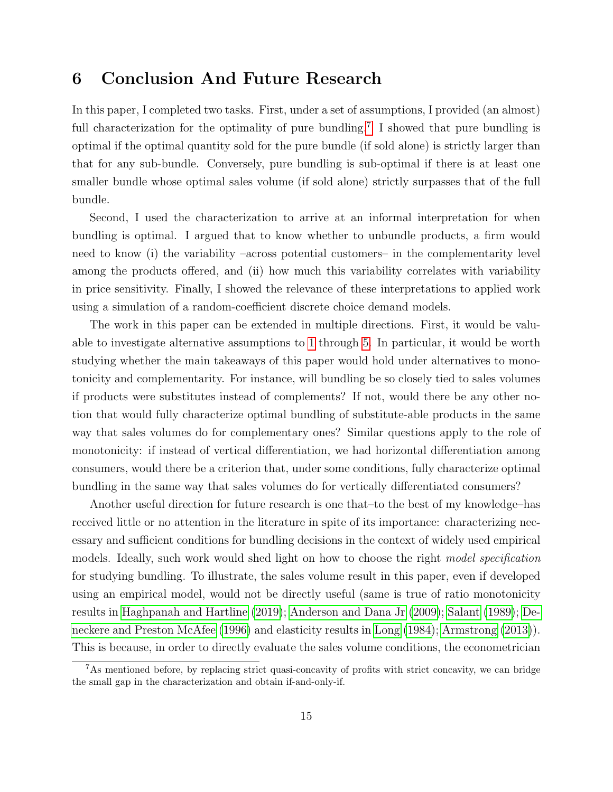### <span id="page-16-0"></span>6 Conclusion And Future Research

In this paper, I completed two tasks. First, under a set of assumptions, I provided (an almost) full characterization for the optimality of pure bundling.<sup>[7](#page-16-1)</sup> I showed that pure bundling is optimal if the optimal quantity sold for the pure bundle (if sold alone) is strictly larger than that for any sub-bundle. Conversely, pure bundling is sub-optimal if there is at least one smaller bundle whose optimal sales volume (if sold alone) strictly surpasses that of the full bundle.

Second, I used the characterization to arrive at an informal interpretation for when bundling is optimal. I argued that to know whether to unbundle products, a firm would need to know (i) the variability –across potential customers– in the complementarity level among the products offered, and (ii) how much this variability correlates with variability in price sensitivity. Finally, I showed the relevance of these interpretations to applied work using a simulation of a random-coefficient discrete choice demand models.

The work in this paper can be extended in multiple directions. First, it would be valuable to investigate alternative assumptions to [1](#page-6-1) through [5.](#page-7-2) In particular, it would be worth studying whether the main takeaways of this paper would hold under alternatives to monotonicity and complementarity. For instance, will bundling be so closely tied to sales volumes if products were substitutes instead of complements? If not, would there be any other notion that would fully characterize optimal bundling of substitute-able products in the same way that sales volumes do for complementary ones? Similar questions apply to the role of monotonicity: if instead of vertical differentiation, we had horizontal differentiation among consumers, would there be a criterion that, under some conditions, fully characterize optimal bundling in the same way that sales volumes do for vertically differentiated consumers?

Another useful direction for future research is one that–to the best of my knowledge–has received little or no attention in the literature in spite of its importance: characterizing necessary and sufficient conditions for bundling decisions in the context of widely used empirical models. Ideally, such work would shed light on how to choose the right model specification for studying bundling. To illustrate, the sales volume result in this paper, even if developed using an empirical model, would not be directly useful (same is true of ratio monotonicity results in [Haghpanah and Hartline](#page-17-1) [\(2019\)](#page-17-1); [Anderson and Dana Jr](#page-17-6) [\(2009\)](#page-17-6); [Salant](#page-18-8) [\(1989\)](#page-18-8); [De](#page-17-7)[neckere and Preston McAfee](#page-17-7) [\(1996\)](#page-17-7) and elasticity results in [Long](#page-18-0) [\(1984\)](#page-18-0); [Armstrong](#page-17-0) [\(2013\)](#page-17-0)). This is because, in order to directly evaluate the sales volume conditions, the econometrician

<span id="page-16-1"></span><sup>7</sup>As mentioned before, by replacing strict quasi-concavity of profits with strict concavity, we can bridge the small gap in the characterization and obtain if-and-only-if.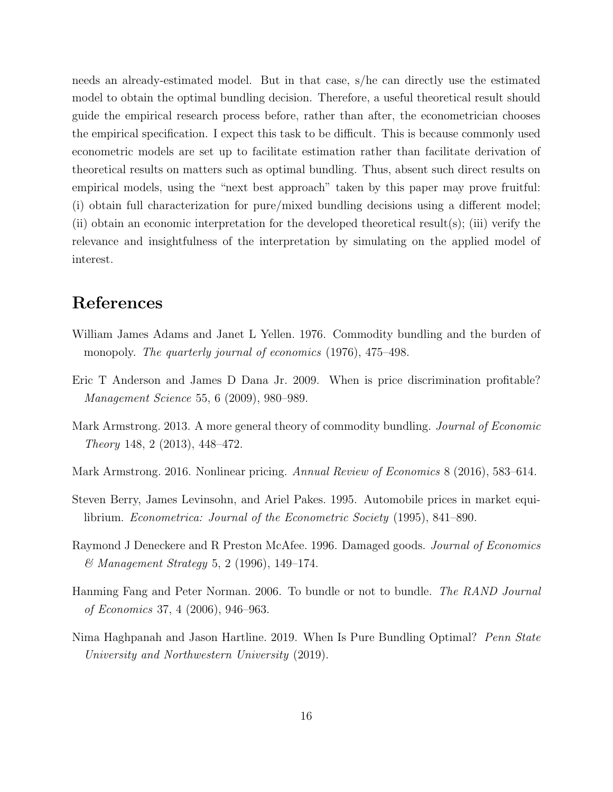needs an already-estimated model. But in that case, s/he can directly use the estimated model to obtain the optimal bundling decision. Therefore, a useful theoretical result should guide the empirical research process before, rather than after, the econometrician chooses the empirical specification. I expect this task to be difficult. This is because commonly used econometric models are set up to facilitate estimation rather than facilitate derivation of theoretical results on matters such as optimal bundling. Thus, absent such direct results on empirical models, using the "next best approach" taken by this paper may prove fruitful: (i) obtain full characterization for pure/mixed bundling decisions using a different model; (ii) obtain an economic interpretation for the developed theoretical result(s); (iii) verify the relevance and insightfulness of the interpretation by simulating on the applied model of interest.

### References

- <span id="page-17-3"></span>William James Adams and Janet L Yellen. 1976. Commodity bundling and the burden of monopoly. The quarterly journal of economics (1976), 475–498.
- <span id="page-17-6"></span>Eric T Anderson and James D Dana Jr. 2009. When is price discrimination profitable? Management Science 55, 6 (2009), 980–989.
- <span id="page-17-0"></span>Mark Armstrong. 2013. A more general theory of commodity bundling. Journal of Economic Theory 148, 2 (2013), 448–472.
- <span id="page-17-5"></span>Mark Armstrong. 2016. Nonlinear pricing. Annual Review of Economics 8 (2016), 583–614.
- <span id="page-17-2"></span>Steven Berry, James Levinsohn, and Ariel Pakes. 1995. Automobile prices in market equilibrium. Econometrica: Journal of the Econometric Society (1995), 841–890.
- <span id="page-17-7"></span>Raymond J Deneckere and R Preston McAfee. 1996. Damaged goods. Journal of Economics & Management Strategy 5, 2 (1996), 149–174.
- <span id="page-17-4"></span>Hanming Fang and Peter Norman. 2006. To bundle or not to bundle. The RAND Journal of Economics 37, 4 (2006), 946–963.
- <span id="page-17-1"></span>Nima Haghpanah and Jason Hartline. 2019. When Is Pure Bundling Optimal? Penn State University and Northwestern University (2019).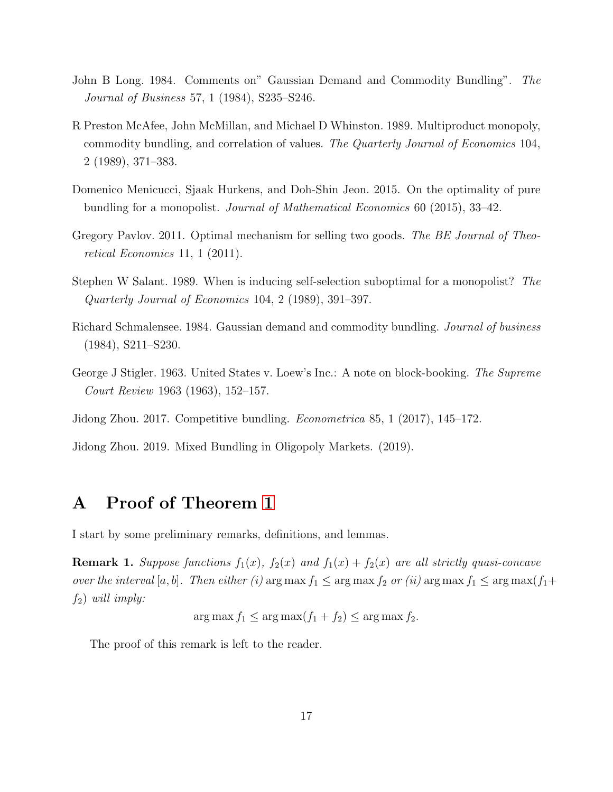- <span id="page-18-0"></span>John B Long. 1984. Comments on" Gaussian Demand and Commodity Bundling". The Journal of Business 57, 1 (1984), S235–S246.
- <span id="page-18-2"></span>R Preston McAfee, John McMillan, and Michael D Whinston. 1989. Multiproduct monopoly, commodity bundling, and correlation of values. The Quarterly Journal of Economics 104, 2 (1989), 371–383.
- <span id="page-18-3"></span>Domenico Menicucci, Sjaak Hurkens, and Doh-Shin Jeon. 2015. On the optimality of pure bundling for a monopolist. Journal of Mathematical Economics 60 (2015), 33–42.
- <span id="page-18-4"></span>Gregory Pavlov. 2011. Optimal mechanism for selling two goods. The BE Journal of Theoretical Economics 11, 1 (2011).
- <span id="page-18-8"></span>Stephen W Salant. 1989. When is inducing self-selection suboptimal for a monopolist? The Quarterly Journal of Economics 104, 2 (1989), 391–397.
- <span id="page-18-5"></span>Richard Schmalensee. 1984. Gaussian demand and commodity bundling. Journal of business (1984), S211–S230.
- <span id="page-18-1"></span>George J Stigler. 1963. United States v. Loew's Inc.: A note on block-booking. The Supreme Court Review 1963 (1963), 152–157.
- <span id="page-18-6"></span>Jidong Zhou. 2017. Competitive bundling. Econometrica 85, 1 (2017), 145–172.

<span id="page-18-7"></span>Jidong Zhou. 2019. Mixed Bundling in Oligopoly Markets. (2019).

### A Proof of Theorem [1](#page-7-3)

I start by some preliminary remarks, definitions, and lemmas.

<span id="page-18-9"></span>**Remark 1.** Suppose functions  $f_1(x)$ ,  $f_2(x)$  and  $f_1(x) + f_2(x)$  are all strictly quasi-concave over the interval [a, b]. Then either (i) arg max  $f_1 \leq \arg \max f_2$  or (ii)  $\arg \max f_1 \leq \arg \max (f_1 +$  $f_2$ ) will imply:

 $\arg \max f_1 \leq \arg \max (f_1 + f_2) \leq \arg \max f_2.$ 

The proof of this remark is left to the reader.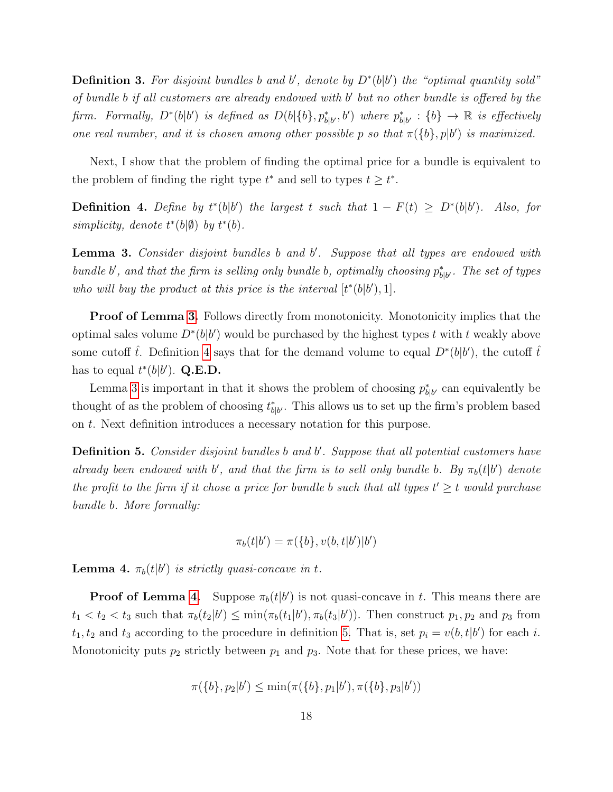**Definition 3.** For disjoint bundles b and b', denote by  $D^*(b|b')$  the "optimal quantity sold" of bundle b if all customers are already endowed with b' but no other bundle is offered by the firm. Formally,  $D^*(b|b')$  is defined as  $D(b|\{b\}, p^*_{b|b'}, b')$  where  $p^*_{b|b'}: \{b\} \to \mathbb{R}$  is effectively one real number, and it is chosen among other possible p so that  $\pi({b}, p|b')$  is maximized.

Next, I show that the problem of finding the optimal price for a bundle is equivalent to the problem of finding the right type  $t^*$  and sell to types  $t \geq t^*$ .

<span id="page-19-1"></span>**Definition 4.** Define by  $t^*(b|b')$  the largest t such that  $1 - F(t) \ge D^*(b|b')$ . Also, for simplicity, denote  $t^*(b|\emptyset)$  by  $t^*(b)$ .

<span id="page-19-0"></span>Lemma 3. Consider disjoint bundles b and b'. Suppose that all types are endowed with bundle b', and that the firm is selling only bundle b, optimally choosing  $p_{b|b'}^*$ . The set of types who will buy the product at this price is the interval  $[t^*(b|b'), 1]$ .

**Proof of Lemma [3.](#page-19-0)** Follows directly from monotonicity. Monotonicity implies that the optimal sales volume  $D^*(b|b')$  would be purchased by the highest types t with t weakly above some cutoff  $\hat{t}$ . Definition [4](#page-19-1) says that for the demand volume to equal  $D^*(b|b')$ , the cutoff  $\hat{t}$ has to equal  $t^*(b|b')$ . Q.E.D.

Lemma [3](#page-19-0) is important in that it shows the problem of choosing  $p_{b|b'}^*$  can equivalently be thought of as the problem of choosing  $t^*_{b|b'}$ . This allows us to set up the firm's problem based on t. Next definition introduces a necessary notation for this purpose.

<span id="page-19-3"></span>Definition 5. Consider disjoint bundles b and b'. Suppose that all potential customers have already been endowed with b', and that the firm is to sell only bundle b. By  $\pi_b(t|b')$  denote the profit to the firm if it chose a price for bundle b such that all types  $t' \geq t$  would purchase bundle b. More formally:

$$
\pi_b(t|b') = \pi(\{b\}, v(b, t|b')|b')
$$

<span id="page-19-2"></span>**Lemma 4.**  $\pi_b(t|b')$  is strictly quasi-concave in t.

**Proof of Lemma [4.](#page-19-2)** Suppose  $\pi_b(t|b')$  is not quasi-concave in t. This means there are  $t_1 < t_2 < t_3$  such that  $\pi_b(t_2|b') \le \min(\pi_b(t_1|b'), \pi_b(t_3|b'))$ . Then construct  $p_1, p_2$  and  $p_3$  from  $t_1, t_2$  and  $t_3$  according to the procedure in definition [5.](#page-19-3) That is, set  $p_i = v(b, t|b')$  for each i. Monotonicity puts  $p_2$  strictly between  $p_1$  and  $p_3$ . Note that for these prices, we have:

$$
\pi({b}, p_2|b') \le \min(\pi({b}, p_1|b'), \pi({b}, p_3|b'))
$$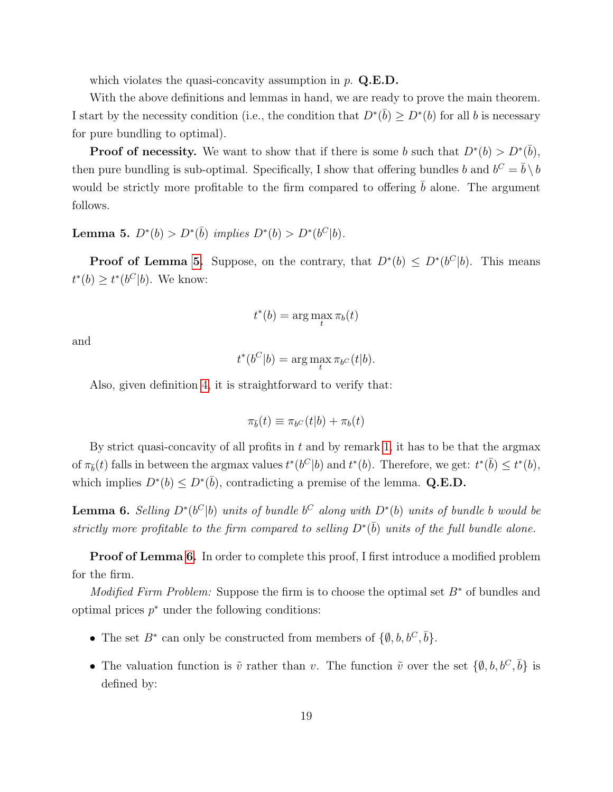which violates the quasi-concavity assumption in  $p$ . Q.E.D.

With the above definitions and lemmas in hand, we are ready to prove the main theorem. I start by the necessity condition (i.e., the condition that  $D^*(\bar{b}) \ge D^*(b)$  for all b is necessary for pure bundling to optimal).

**Proof of necessity.** We want to show that if there is some b such that  $D^*(b) > D^*(\bar{b})$ , then pure bundling is sub-optimal. Specifically, I show that offering bundles b and  $b^C = \bar{b} \setminus b$ would be strictly more profitable to the firm compared to offering  $\bar{b}$  alone. The argument follows.

<span id="page-20-0"></span>Lemma 5.  $D^*(b) > D^*(\bar{b})$  implies  $D^*(b) > D^*(b^C|b)$ .

**Proof of Lemma [5.](#page-20-0)** Suppose, on the contrary, that  $D^*(b) \le D^*(b^C|b)$ . This means  $t^*(b) \geq t^*(b^C|b)$ . We know:

$$
t^*(b) = \arg\max_t \pi_b(t)
$$

and

$$
t^*(b^C|b) = \arg\max_t \pi_{b^C}(t|b).
$$

Also, given definition [4,](#page-19-1) it is straightforward to verify that:

$$
\pi_{\bar{b}}(t)\equiv\pi_{b^C}(t|b)+\pi_{b}(t)
$$

By strict quasi-concavity of all profits in  $t$  and by remark [1,](#page-18-9) it has to be that the argmax of  $\pi_{\bar{b}}(t)$  falls in between the argmax values  $t^*(b^C|b)$  and  $t^*(b)$ . Therefore, we get:  $t^*(\bar{b}) \leq t^*(b)$ , which implies  $D^*(b) \leq D^*(\bar{b})$ , contradicting a premise of the lemma. Q.E.D.

<span id="page-20-1"></span>**Lemma 6.** Selling  $D^*(b^C|b)$  units of bundle  $b^C$  along with  $D^*(b)$  units of bundle b would be strictly more profitable to the firm compared to selling  $D^*(\bar{b})$  units of the full bundle alone.

**Proof of Lemma [6.](#page-20-1)** In order to complete this proof, I first introduce a modified problem for the firm.

*Modified Firm Problem:* Suppose the firm is to choose the optimal set  $B^*$  of bundles and optimal prices  $p^*$  under the following conditions:

- The set  $B^*$  can only be constructed from members of  $\{\emptyset, b, b^C, \overline{b}\}.$
- The valuation function is  $\tilde{v}$  rather than v. The function  $\tilde{v}$  over the set  $\{\emptyset, b, b^C, \bar{b}\}$  is defined by: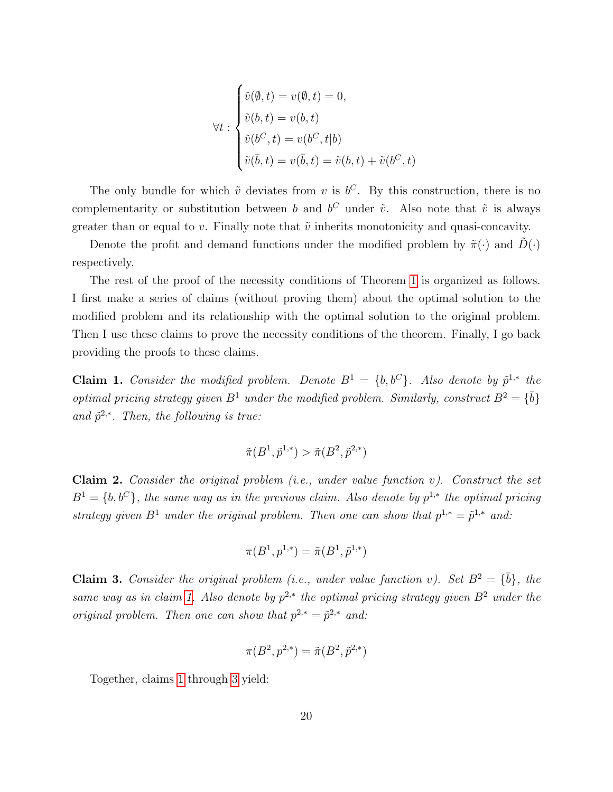$$
\forall t : \begin{cases} \tilde{v}(\emptyset, t) = v(\emptyset, t) = 0, \\ \tilde{v}(b, t) = v(b, t) \\ \tilde{v}(b^C, t) = v(b^C, t|b) \\ \tilde{v}(\bar{b}, t) = v(\bar{b}, t) = \tilde{v}(b, t) + \tilde{v}(b^C, t) \end{cases}
$$

 $\lambda$ 

The only bundle for which  $\tilde{v}$  deviates from v is  $b^C$ . By this construction, there is no complementarity or substitution between b and  $b^C$  under  $\tilde{v}$ . Also note that  $\tilde{v}$  is always greater than or equal to v. Finally note that  $\tilde{v}$  inherits monotonicity and quasi-concavity.

Denote the profit and demand functions under the modified problem by  $\tilde{\pi}(\cdot)$  and  $D(\cdot)$ respectively.

The rest of the proof of the necessity conditions of Theorem [1](#page-7-3) is organized as follows. I first make a series of claims (without proving them) about the optimal solution to the modified problem and its relationship with the optimal solution to the original problem. Then I use these claims to prove the necessity conditions of the theorem. Finally, I go back providing the proofs to these claims.

<span id="page-21-0"></span>**Claim 1.** Consider the modified problem. Denote  $B^1 = \{b, b^C\}$ . Also denote by  $\tilde{p}^{1,*}$  the optimal pricing strategy given  $B^1$  under the modified problem. Similarly, construct  $B^2 = {\overline{b}}$ and  $\tilde{p}^{2,*}$ . Then, the following is true:

$$
\tilde{\pi}(B^1, \tilde{p}^{1,*}) > \tilde{\pi}(B^2, \tilde{p}^{2,*})
$$

<span id="page-21-2"></span>Claim 2. Consider the original problem  $(i.e.,$  under value function  $v$ ). Construct the set  $B<sup>1</sup> = \{b, b<sup>C</sup>\}$ , the same way as in the previous claim. Also denote by  $p<sup>1,*</sup>$  the optimal pricing strategy given  $B^1$  under the original problem. Then one can show that  $p^{1,*} = \tilde{p}^{1,*}$  and:

$$
\pi(B^1, p^{1,*}) = \tilde{\pi}(B^1, \tilde{p}^{1,*})
$$

<span id="page-21-1"></span>**Claim 3.** Consider the original problem (i.e., under value function v). Set  $B^2 = {\bar{b}}$ , the same way as in claim [1.](#page-21-0) Also denote by  $p^{2,*}$  the optimal pricing strategy given  $B^2$  under the original problem. Then one can show that  $p^{2,*} = \tilde{p}^{2,*}$  and:

$$
\pi(B^2, p^{2,*}) = \tilde{\pi}(B^2, \tilde{p}^{2,*})
$$

Together, claims [1](#page-21-0) through [3](#page-21-1) yield: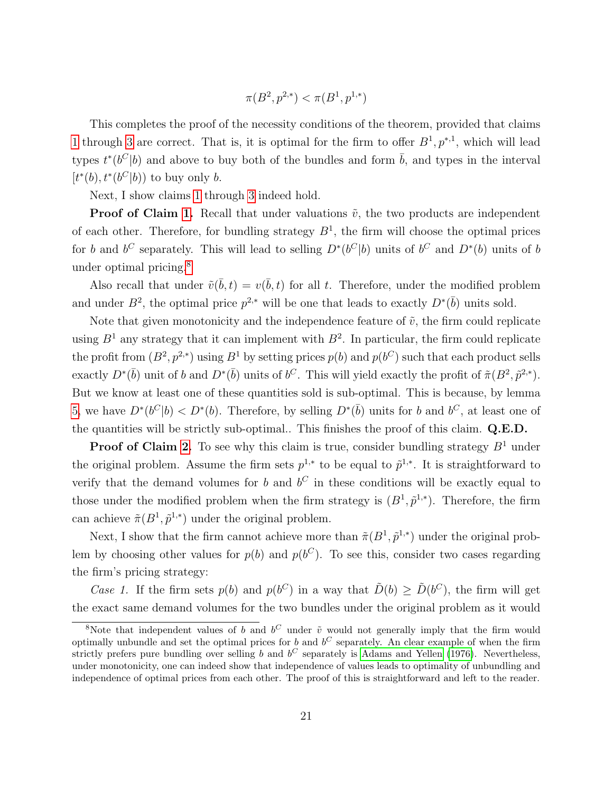$$
\pi(B^2,p^{2,*})<\pi(B^1,p^{1,*})
$$

This completes the proof of the necessity conditions of the theorem, provided that claims [1](#page-21-0) through [3](#page-21-1) are correct. That is, it is optimal for the firm to offer  $B^1, p^{*,1}$ , which will lead types  $t^*(b^C|b)$  and above to buy both of the bundles and form  $\bar{b}$ , and types in the interval  $[t<sup>*</sup>(b), t<sup>*</sup>(b<sup>C</sup>|b))$  to buy only *b*.

Next, I show claims [1](#page-21-0) through [3](#page-21-1) indeed hold.

**Proof of Claim [1.](#page-21-0)** Recall that under valuations  $\tilde{v}$ , the two products are independent of each other. Therefore, for bundling strategy  $B<sup>1</sup>$ , the firm will choose the optimal prices for b and b<sup>C</sup> separately. This will lead to selling  $D^*(b^C|b)$  units of b<sup>C</sup> and  $D^*(b)$  units of b under optimal pricing.[8](#page-22-0)

Also recall that under  $\tilde{v}(\bar{b}, t) = v(\bar{b}, t)$  for all t. Therefore, under the modified problem and under  $B^2$ , the optimal price  $p^{2,*}$  will be one that leads to exactly  $D^*(\bar{b})$  units sold.

Note that given monotonicity and the independence feature of  $\tilde{v}$ , the firm could replicate using  $B<sup>1</sup>$  any strategy that it can implement with  $B<sup>2</sup>$ . In particular, the firm could replicate the profit from  $(B^2, p^{2,*})$  using  $B^1$  by setting prices  $p(b)$  and  $p(b^C)$  such that each product sells exactly  $D^*(\bar{b})$  unit of b and  $D^*(\bar{b})$  units of  $b^C$ . This will yield exactly the profit of  $\tilde{\pi}(B^2, \tilde{p}^{2,*})$ . But we know at least one of these quantities sold is sub-optimal. This is because, by lemma [5,](#page-20-0) we have  $D^*(b^C|b) < D^*(b)$ . Therefore, by selling  $D^*(\bar{b})$  units for b and  $b^C$ , at least one of the quantities will be strictly sub-optimal.. This finishes the proof of this claim. Q.E.D.

**Proof of Claim [2.](#page-21-2)** To see why this claim is true, consider bundling strategy  $B^1$  under the original problem. Assume the firm sets  $p^{1,*}$  to be equal to  $\tilde{p}^{1,*}$ . It is straightforward to verify that the demand volumes for b and  $b^C$  in these conditions will be exactly equal to those under the modified problem when the firm strategy is  $(B^1, \tilde{p}^{1,*})$ . Therefore, the firm can achieve  $\tilde{\pi}(B^1, \tilde{p}^{1,*})$  under the original problem.

Next, I show that the firm cannot achieve more than  $\tilde{\pi}(B^1, \tilde{p}^{1,*})$  under the original problem by choosing other values for  $p(b)$  and  $p(b^C)$ . To see this, consider two cases regarding the firm's pricing strategy:

Case 1. If the firm sets  $p(b)$  and  $p(b^C)$  in a way that  $\tilde{D}(b) \geq \tilde{D}(b^C)$ , the firm will get the exact same demand volumes for the two bundles under the original problem as it would

<span id="page-22-0"></span><sup>&</sup>lt;sup>8</sup>Note that independent values of b and  $b^C$  under  $\tilde{v}$  would not generally imply that the firm would optimally unbundle and set the optimal prices for b and  $b^C$  separately. An clear example of when the firm strictly prefers pure bundling over selling b and  $b^C$  separately is [Adams and Yellen](#page-17-3) [\(1976\)](#page-17-3). Nevertheless, under monotonicity, one can indeed show that independence of values leads to optimality of unbundling and independence of optimal prices from each other. The proof of this is straightforward and left to the reader.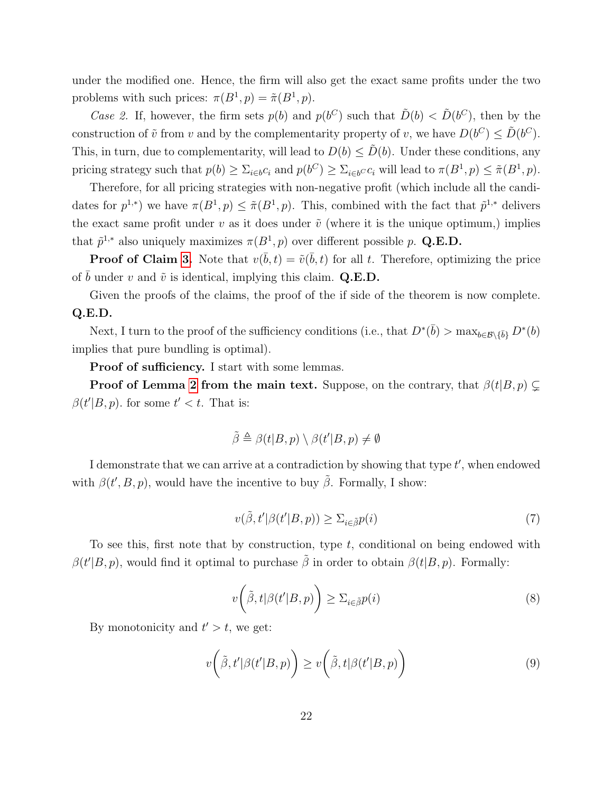under the modified one. Hence, the firm will also get the exact same profits under the two problems with such prices:  $\pi(B^1, p) = \tilde{\pi}(B^1, p)$ .

Case 2. If, however, the firm sets  $p(b)$  and  $p(b^C)$  such that  $\tilde{D}(b) < \tilde{D}(b^C)$ , then by the construction of  $\tilde{v}$  from v and by the complementarity property of v, we have  $D(b^C) \leq \tilde{D}(b^C)$ . This, in turn, due to complementarity, will lead to  $D(b) \leq \tilde{D}(b)$ . Under these conditions, any pricing strategy such that  $p(b) \geq \sum_{i \in b} c_i$  and  $p(b^C) \geq \sum_{i \in b} c_i$  will lead to  $\pi(B^1, p) \leq \tilde{\pi}(B^1, p)$ .

Therefore, for all pricing strategies with non-negative profit (which include all the candidates for  $p^{1,*}$ ) we have  $\pi(B^1, p) \leq \tilde{\pi}(B^1, p)$ . This, combined with the fact that  $\tilde{p}^{1,*}$  delivers the exact same profit under  $v$  as it does under  $\tilde{v}$  (where it is the unique optimum,) implies that  $\tilde{p}^{1,*}$  also uniquely maximizes  $\pi(B^1, p)$  over different possible p. Q.E.D.

**Proof of Claim [3.](#page-21-1)** Note that  $v(\bar{b}, t) = \tilde{v}(\bar{b}, t)$  for all t. Therefore, optimizing the price of b under v and  $\tilde{v}$  is identical, implying this claim. Q.E.D.

Given the proofs of the claims, the proof of the if side of the theorem is now complete. Q.E.D.

Next, I turn to the proof of the sufficiency conditions (i.e., that  $D^*(\bar{b}) > \max_{b \in \mathcal{B} \setminus {\{\bar{b}\}}} D^*(b)$ implies that pure bundling is optimal).

Proof of sufficiency. I start with some lemmas.

**Proof of Lemma [2](#page-9-1) from the main text.** Suppose, on the contrary, that  $\beta(t|B, p) \subset$  $\beta(t'|B, p)$ . for some  $t' < t$ . That is:

$$
\tilde{\beta} \triangleq \beta(t|B, p) \setminus \beta(t'|B, p) \neq \emptyset
$$

I demonstrate that we can arrive at a contradiction by showing that type  $t'$ , when endowed with  $\beta(t', B, p)$ , would have the incentive to buy  $\tilde{\beta}$ . Formally, I show:

<span id="page-23-2"></span>
$$
v(\tilde{\beta}, t'|\beta(t'|B, p)) \ge \Sigma_{i \in \tilde{\beta}} p(i)
$$
\n<sup>(7)</sup>

To see this, first note that by construction, type  $t$ , conditional on being endowed with  $\beta(t'|B, p)$ , would find it optimal to purchase  $\tilde{\beta}$  in order to obtain  $\beta(t|B, p)$ . Formally:

<span id="page-23-0"></span>
$$
v\left(\tilde{\beta},t|\beta(t'|B,p)\right) \ge \Sigma_{i \in \tilde{\beta}}p(i)
$$
\n(8)

By monotonicity and  $t' > t$ , we get:

<span id="page-23-1"></span>
$$
v\left(\tilde{\beta}, t'|\beta(t'|B, p)\right) \ge v\left(\tilde{\beta}, t|\beta(t'|B, p)\right) \tag{9}
$$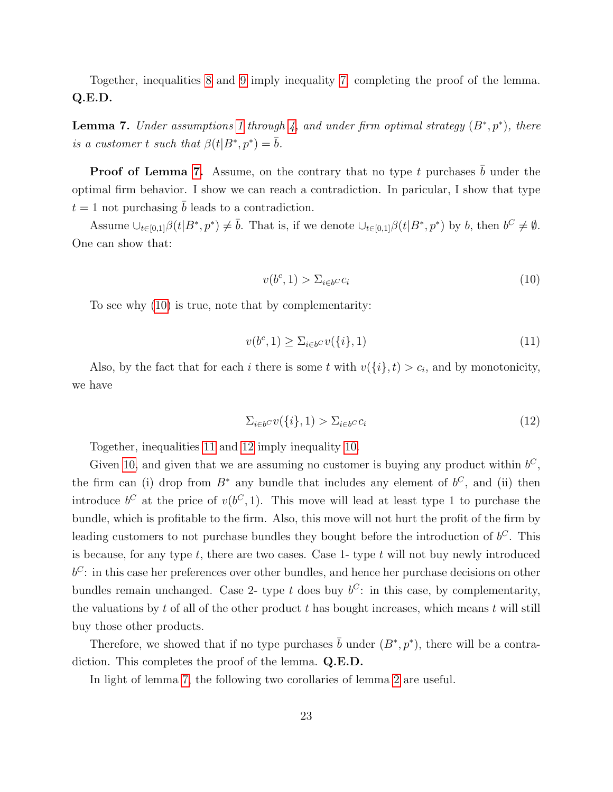Together, inequalities [8](#page-23-0) and [9](#page-23-1) imply inequality [7,](#page-23-2) completing the proof of the lemma. Q.E.D.

<span id="page-24-0"></span>**Lemma 7.** Under assumptions [1](#page-6-1) through [4,](#page-7-5) and under firm optimal strategy  $(B^*, p^*)$ , there is a customer t such that  $\beta(t|B^*, p^*) = \bar{b}$ .

**Proof of Lemma [7.](#page-24-0)** Assume, on the contrary that no type t purchases  $\overline{b}$  under the optimal firm behavior. I show we can reach a contradiction. In paricular, I show that type  $t = 1$  not purchasing b leads to a contradiction.

Assume  $\bigcup_{t\in[0,1]}\beta(t|B^*,p^*)\neq\overline{b}$ . That is, if we denote  $\bigcup_{t\in[0,1]}\beta(t|B^*,p^*)$  by b, then  $b^C\neq\emptyset$ . One can show that:

<span id="page-24-1"></span>
$$
v(b^c, 1) > \sum_{i \in b^c} c_i \tag{10}
$$

To see why [\(10\)](#page-24-1) is true, note that by complementarity:

<span id="page-24-2"></span>
$$
v(b^c, 1) \ge \sum_{i \in b^C} v(\{i\}, 1) \tag{11}
$$

Also, by the fact that for each i there is some t with  $v(\{i\},t) > c_i$ , and by monotonicity, we have

<span id="page-24-3"></span>
$$
\sum_{i \in b} cv(\{i\}, 1) > \sum_{i \in b} cc_i \tag{12}
$$

Together, inequalities [11](#page-24-2) and [12](#page-24-3) imply inequality [10.](#page-24-1)

Given [10,](#page-24-1) and given that we are assuming no customer is buying any product within  $b^C$ , the firm can (i) drop from  $B^*$  any bundle that includes any element of  $b^C$ , and (ii) then introduce  $b^C$  at the price of  $v(b^C, 1)$ . This move will lead at least type 1 to purchase the bundle, which is profitable to the firm. Also, this move will not hurt the profit of the firm by leading customers to not purchase bundles they bought before the introduction of  $b^C$ . This is because, for any type  $t$ , there are two cases. Case 1- type  $t$  will not buy newly introduced  $b^C$ : in this case her preferences over other bundles, and hence her purchase decisions on other bundles remain unchanged. Case 2- type t does buy  $b^C$ : in this case, by complementarity, the valuations by  $t$  of all of the other product  $t$  has bought increases, which means  $t$  will still buy those other products.

Therefore, we showed that if no type purchases  $\bar{b}$  under  $(B^*, p^*)$ , there will be a contradiction. This completes the proof of the lemma. Q.E.D.

In light of lemma [7,](#page-24-0) the following two corollaries of lemma [2](#page-9-1) are useful.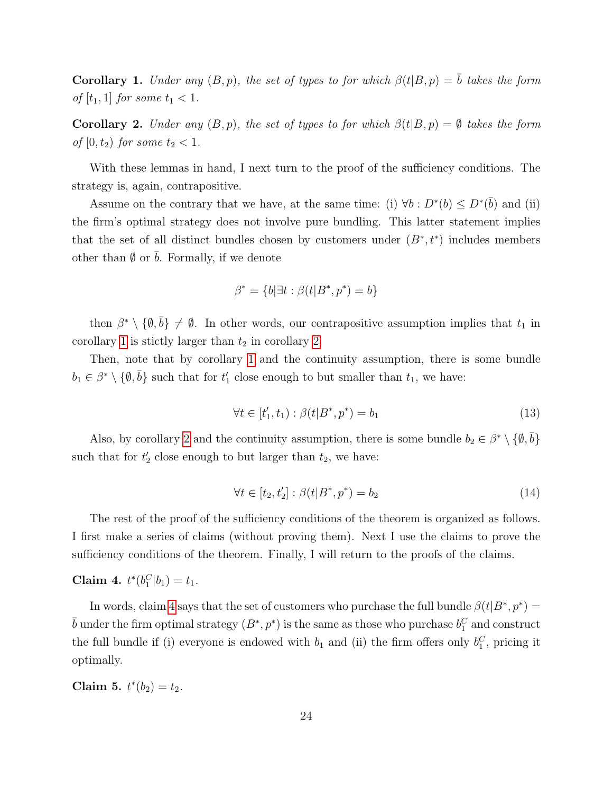<span id="page-25-0"></span>**Corollary 1.** Under any  $(B, p)$ , the set of types to for which  $\beta(t|B, p) = b$  takes the form of  $[t_1, 1]$  for some  $t_1 < 1$ .

<span id="page-25-1"></span>**Corollary 2.** Under any  $(B, p)$ , the set of types to for which  $\beta(t|B, p) = \emptyset$  takes the form of  $[0, t_2)$  for some  $t_2 < 1$ .

With these lemmas in hand, I next turn to the proof of the sufficiency conditions. The strategy is, again, contrapositive.

Assume on the contrary that we have, at the same time: (i)  $\forall b : D^*(b) \le D^*(\overline{b})$  and (ii) the firm's optimal strategy does not involve pure bundling. This latter statement implies that the set of all distinct bundles chosen by customers under  $(B^*, t^*)$  includes members other than  $\emptyset$  or  $b$ . Formally, if we denote

$$
\beta^* = \{b | \exists t : \beta(t | B^*, p^*) = b\}
$$

then  $\beta^* \setminus \{\emptyset, \bar{b}\}\neq \emptyset$ . In other words, our contrapositive assumption implies that  $t_1$  in corollary [1](#page-25-0) is stictly larger than  $t_2$  in corollary [2.](#page-25-1)

Then, note that by corollary [1](#page-25-0) and the continuity assumption, there is some bundle  $b_1 \in \beta^* \setminus \{\emptyset, \overline{b}\}\$  such that for  $t'_1$  close enough to but smaller than  $t_1$ , we have:

<span id="page-25-4"></span>
$$
\forall t \in [t'_1, t_1) : \beta(t|B^*, p^*) = b_1 \tag{13}
$$

Also, by corollary [2](#page-25-1) and the continuity assumption, there is some bundle  $b_2 \in \beta^* \setminus \{\emptyset, \overline{b}\}\$ such that for  $t_2'$  close enough to but larger than  $t_2$ , we have:

$$
\forall t \in [t_2, t_2'] : \beta(t|B^*, p^*) = b_2 \tag{14}
$$

The rest of the proof of the sufficiency conditions of the theorem is organized as follows. I first make a series of claims (without proving them). Next I use the claims to prove the sufficiency conditions of the theorem. Finally, I will return to the proofs of the claims.

### <span id="page-25-2"></span>Claim 4.  $t^*(b_1^C|b_1) = t_1$ .

In words, claim [4](#page-25-2) says that the set of customers who purchase the full bundle  $\beta(t|B^*,p^*)$  =  $\bar{b}$  under the firm optimal strategy  $(B^*, p^*)$  is the same as those who purchase  $b_1^C$  and construct the full bundle if (i) everyone is endowed with  $b_1$  and (ii) the firm offers only  $b_1^C$ , pricing it optimally.

<span id="page-25-3"></span>Claim 5.  $t^*(b_2) = t_2$ .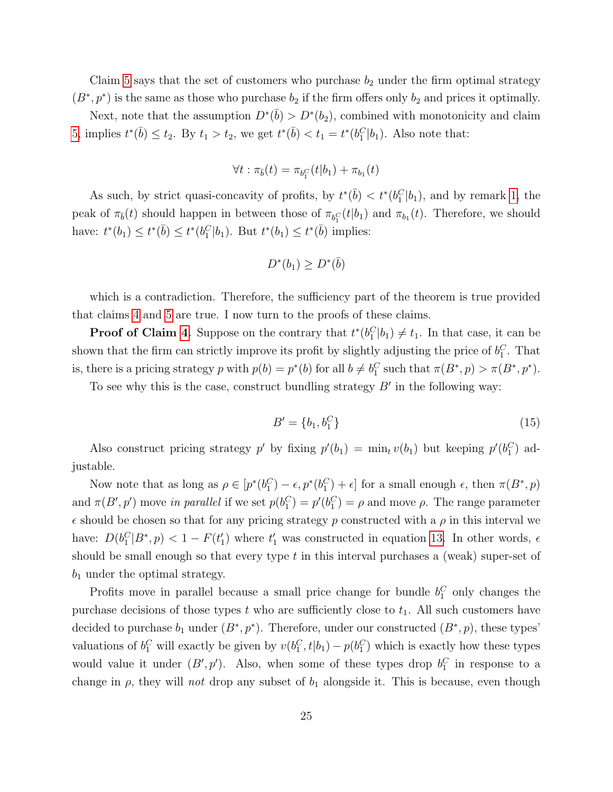Claim [5](#page-25-3) says that the set of customers who purchase  $b_2$  under the firm optimal strategy  $(B^*, p^*)$  is the same as those who purchase  $b_2$  if the firm offers only  $b_2$  and prices it optimally.

Next, note that the assumption  $D^*(\bar{b}) > D^*(b_2)$ , combined with monotonicity and claim [5,](#page-25-3) implies  $t^*(\bar{b}) \le t_2$ . By  $t_1 > t_2$ , we get  $t^*(\bar{b}) < t_1 = t^*(b_1^C|b_1)$ . Also note that:

$$
\forall t : \pi_{\bar{b}}(t) = \pi_{b_1^C}(t|b_1) + \pi_{b_1}(t)
$$

As such, by strict quasi-concavity of profits, by  $t^*(\bar{b}) < t^*(b_1^C|b_1)$ , and by remark [1,](#page-18-9) the peak of  $\pi_{\bar{b}}(t)$  should happen in between those of  $\pi_{b_1}(t|b_1)$  and  $\pi_{b_1}(t)$ . Therefore, we should have:  $t^*(b_1) \leq t^*(\bar{b}) \leq t^*(b_1^C|b_1)$ . But  $t^*(b_1) \leq t^*(\bar{b})$  implies:

$$
D^*(b_1) \ge D^*(\bar{b})
$$

which is a contradiction. Therefore, the sufficiency part of the theorem is true provided that claims [4](#page-25-2) and [5](#page-25-3) are true. I now turn to the proofs of these claims.

**Proof of Claim [4.](#page-25-2)** Suppose on the contrary that  $t^*(b_1^C|b_1) \neq t_1$ . In that case, it can be shown that the firm can strictly improve its profit by slightly adjusting the price of  $b_1^C$ . That is, there is a pricing strategy p with  $p(b) = p^*(b)$  for all  $b \neq b_1^C$  such that  $\pi(B^*, p) > \pi(B^*, p^*)$ .

To see why this is the case, construct bundling strategy  $B'$  in the following way:

$$
B' = \{b_1, b_1^C\} \tag{15}
$$

Also construct pricing strategy p' by fixing  $p'(b_1) = \min_t v(b_1)$  but keeping  $p'(b_1^C)$  adjustable.

Now note that as long as  $\rho \in [p^*(b_1^C) - \epsilon, p^*(b_1^C) + \epsilon]$  for a small enough  $\epsilon$ , then  $\pi(B^*, p)$ and  $\pi(B', p')$  move in parallel if we set  $p(b_1^C) = p'(b_1^C) = \rho$  and move  $\rho$ . The range parameter  $\epsilon$  should be chosen so that for any pricing strategy p constructed with a  $\rho$  in this interval we have:  $D(b_1^C|B^*, p) < 1 - F(t_1')$  where  $t_1'$  was constructed in equation [13.](#page-25-4) In other words,  $\epsilon$ should be small enough so that every type  $t$  in this interval purchases a (weak) super-set of  $b_1$  under the optimal strategy.

Profits move in parallel because a small price change for bundle  $b_1^C$  only changes the purchase decisions of those types t who are sufficiently close to  $t_1$ . All such customers have decided to purchase  $b_1$  under  $(B^*, p^*)$ . Therefore, under our constructed  $(B^*, p)$ , these types' valuations of  $b_1^C$  will exactly be given by  $v(b_1^C, t|b_1) - p(b_1^C)$  which is exactly how these types would value it under  $(B', p')$ . Also, when some of these types drop  $b_1^C$  in response to a change in  $\rho$ , they will not drop any subset of  $b_1$  alongside it. This is because, even though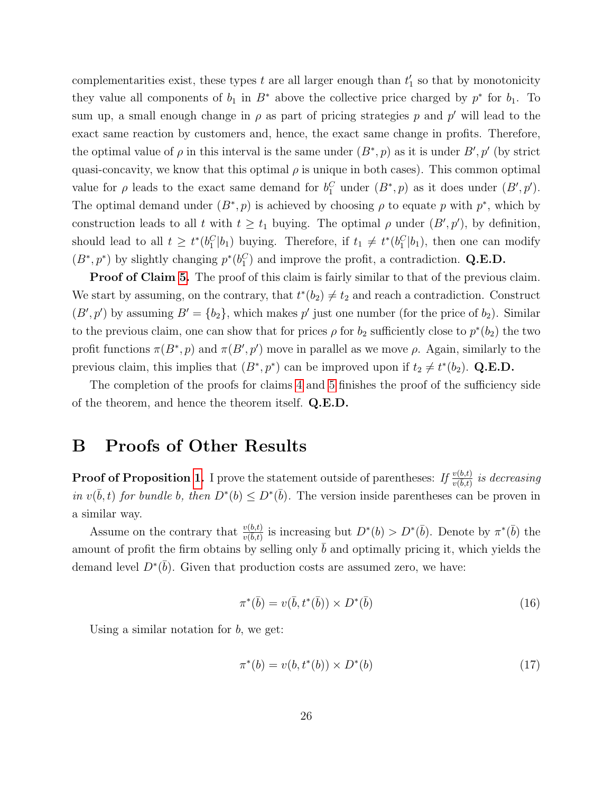complementarities exist, these types  $t$  are all larger enough than  $t_1$  so that by monotonicity they value all components of  $b_1$  in  $B^*$  above the collective price charged by  $p^*$  for  $b_1$ . To sum up, a small enough change in  $\rho$  as part of pricing strategies p and p' will lead to the exact same reaction by customers and, hence, the exact same change in profits. Therefore, the optimal value of  $\rho$  in this interval is the same under  $(B^*, p)$  as it is under  $B', p'$  (by strict quasi-concavity, we know that this optimal  $\rho$  is unique in both cases). This common optimal value for  $\rho$  leads to the exact same demand for  $b_1^C$  under  $(B^*, p)$  as it does under  $(B', p')$ . The optimal demand under  $(B^*, p)$  is achieved by choosing  $\rho$  to equate p with  $p^*$ , which by construction leads to all t with  $t \geq t_1$  buying. The optimal  $\rho$  under  $(B', p')$ , by definition, should lead to all  $t \geq t^*(b_1^C|b_1)$  buying. Therefore, if  $t_1 \neq t^*(b_1^C|b_1)$ , then one can modify  $(B^*, p^*)$  by slightly changing  $p^*(b_1^C)$  and improve the profit, a contradiction. Q.E.D.

**Proof of Claim [5.](#page-25-3)** The proof of this claim is fairly similar to that of the previous claim. We start by assuming, on the contrary, that  $t^*(b_2) \neq t_2$  and reach a contradiction. Construct  $(B', p')$  by assuming  $B' = \{b_2\}$ , which makes p' just one number (for the price of  $b_2$ ). Similar to the previous claim, one can show that for prices  $\rho$  for  $b_2$  sufficiently close to  $p^*(b_2)$  the two profit functions  $\pi(B^*, p)$  and  $\pi(B', p')$  move in parallel as we move  $\rho$ . Again, similarly to the previous claim, this implies that  $(B^*, p^*)$  can be improved upon if  $t_2 \neq t^*(b_2)$ . Q.E.D.

The completion of the proofs for claims [4](#page-25-2) and [5](#page-25-3) finishes the proof of the sufficiency side of the theorem, and hence the theorem itself. Q.E.D.

### B Proofs of Other Results

**Proof of Proposition [1.](#page-9-0)** I prove the statement outside of parentheses: If  $\frac{v(b,t)}{v(b,t)}$  is decreasing in  $v(\bar{b}, t)$  for bundle b, then  $D^*(b) \leq D^*(\bar{b})$ . The version inside parentheses can be proven in a similar way.

Assume on the contrary that  $\frac{v(b,t)}{v(b,t)}$  is increasing but  $D^*(b) > D^*(\bar{b})$ . Denote by  $\pi^*(\bar{b})$  the amount of profit the firm obtains by selling only  $b$  and optimally pricing it, which yields the demand level  $D^*(\bar{b})$ . Given that production costs are assumed zero, we have:

<span id="page-27-0"></span>
$$
\pi^*(\bar{b}) = v(\bar{b}, t^*(\bar{b})) \times D^*(\bar{b})
$$
\n
$$
(16)
$$

Using a similar notation for  $b$ , we get:

<span id="page-27-1"></span>
$$
\pi^*(b) = v(b, t^*(b)) \times D^*(b) \tag{17}
$$